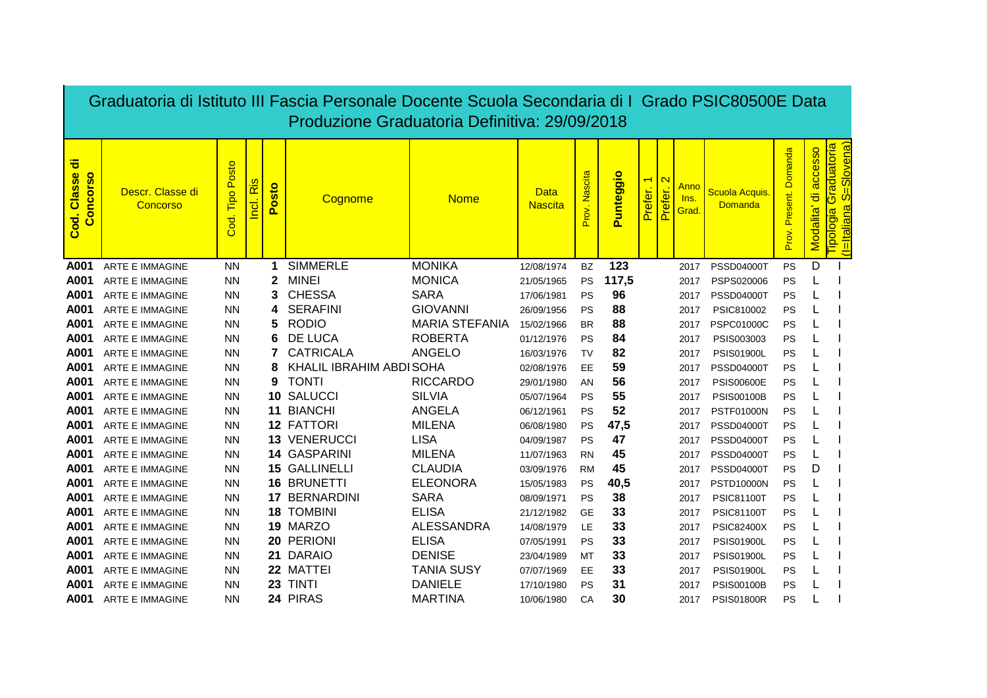|                                        | Graduatoria di Istituto III Fascia Personale Docente Scuola Secondaria di I Grado PSIC80500E Data<br>Produzione Graduatoria Definitiva: 29/09/2018 |                              |                              |                               |                                  |                                   |                               |                        |           |                                     |                              |                                    |                                        |                              |                                            |                                                                                                  |
|----------------------------------------|----------------------------------------------------------------------------------------------------------------------------------------------------|------------------------------|------------------------------|-------------------------------|----------------------------------|-----------------------------------|-------------------------------|------------------------|-----------|-------------------------------------|------------------------------|------------------------------------|----------------------------------------|------------------------------|--------------------------------------------|--------------------------------------------------------------------------------------------------|
| ㅎ<br>Classe<br><b>Concorso</b><br>Cod. | Descr. Classe di<br>Concorso                                                                                                                       | Posto<br><b>Tipo</b><br>Cod. | S<br>$\bar{\mathbf{z}}$<br>ē | <u>sto</u><br>$\bullet$<br>Δ. | Cognome                          | <b>Nome</b>                       | <b>Data</b><br><b>Nascita</b> | Prov. Nascita          | Punteggio | $\overline{\phantom{0}}$<br>Prefer. | $\mathbf{\Omega}$<br>Prefer. | <u>Anno</u><br><u>Ins.</u><br>Grad | Scuola Acquis.<br>Domanda              | Domanda<br>Present.<br>Prov. | accesso<br>$\overline{\sigma}$<br>Modalita | <u>euopeppe</u><br>Slovena)<br>ö<br>$\boldsymbol{\sigma}$<br><u>(I=Italiana</u><br>a<br>libologi |
| A001                                   | <b>ARTE E IMMAGINE</b>                                                                                                                             | <b>NN</b>                    |                              | 1                             | <b>SIMMERLE</b>                  | <b>MONIKA</b>                     | 12/08/1974                    | <b>BZ</b>              | 123       |                                     |                              | 2017                               | <b>PSSD04000T</b>                      | PS                           | D                                          |                                                                                                  |
| A001                                   | ARTE E IMMAGINE                                                                                                                                    | <b>NN</b>                    |                              | $\mathbf 2$                   | <b>MINEI</b>                     | <b>MONICA</b>                     | 21/05/1965                    | PS                     | 117,5     |                                     |                              | 2017                               | PSPS020006                             | PS                           |                                            |                                                                                                  |
| A001                                   | <b>ARTE E IMMAGINE</b>                                                                                                                             | <b>NN</b>                    |                              | 3                             | <b>CHESSA</b>                    | <b>SARA</b>                       | 17/06/1981                    | PS                     | 96        |                                     |                              | 2017                               | <b>PSSD04000T</b>                      | PS                           |                                            |                                                                                                  |
| A001                                   | <b>ARTE E IMMAGINE</b>                                                                                                                             | <b>NN</b>                    |                              | 4                             | <b>SERAFINI</b>                  | <b>GIOVANNI</b>                   | 26/09/1956                    | PS                     | 88        |                                     |                              | 2017                               | PSIC810002                             | PS                           |                                            |                                                                                                  |
| A001                                   | <b>ARTE E IMMAGINE</b>                                                                                                                             | <b>NN</b>                    |                              | 5                             | <b>RODIO</b>                     | <b>MARIA STEFANIA</b>             | 15/02/1966                    | <b>BR</b>              | 88        |                                     |                              | 2017                               | <b>PSPC01000C</b>                      | PS                           |                                            |                                                                                                  |
| A001                                   | ARTE E IMMAGINE                                                                                                                                    | <b>NN</b>                    |                              |                               | <b>DE LUCA</b>                   | <b>ROBERTA</b>                    | 01/12/1976                    | PS                     | 84        |                                     |                              | 2017                               | PSIS003003                             | PS                           |                                            |                                                                                                  |
| A001                                   | <b>ARTE E IMMAGINE</b>                                                                                                                             | <b>NN</b>                    |                              |                               | <b>CATRICALA</b>                 | <b>ANGELO</b>                     | 16/03/1976                    | TV                     | 82        |                                     |                              | 2017                               | <b>PSIS01900L</b>                      | PS                           |                                            |                                                                                                  |
| A001                                   | ARTE E IMMAGINE                                                                                                                                    | <b>NN</b>                    |                              |                               | KHALIL IBRAHIM ABDI SOHA         |                                   | 02/08/1976                    | EE                     | 59        |                                     |                              | 2017                               | <b>PSSD04000T</b>                      | PS                           |                                            |                                                                                                  |
| A001                                   | <b>ARTE E IMMAGINE</b>                                                                                                                             | <b>NN</b>                    |                              | 9                             | <b>TONTI</b>                     | <b>RICCARDO</b>                   | 29/01/1980                    | AN                     | 56        |                                     |                              | 2017                               | <b>PSIS00600E</b>                      | PS                           |                                            |                                                                                                  |
| A001                                   | ARTE E IMMAGINE                                                                                                                                    | <b>NN</b>                    |                              | 10                            | <b>SALUCCI</b>                   | <b>SILVIA</b>                     | 05/07/1964                    | <b>PS</b>              | 55        |                                     |                              | 2017                               | <b>PSIS00100B</b>                      | PS                           |                                            |                                                                                                  |
| A001                                   | <b>ARTE E IMMAGINE</b>                                                                                                                             | <b>NN</b>                    |                              | 11                            | <b>BIANCHI</b>                   | <b>ANGELA</b>                     | 06/12/1961                    | PS                     | 52        |                                     |                              | 2017                               | <b>PSTF01000N</b>                      | PS                           |                                            |                                                                                                  |
| A001                                   | <b>ARTE E IMMAGINE</b>                                                                                                                             | <b>NN</b>                    |                              |                               | <b>12 FATTORI</b>                | <b>MILENA</b>                     | 06/08/1980                    | <b>PS</b>              | 47,5      |                                     |                              | 2017                               | <b>PSSD04000T</b>                      | <b>PS</b>                    |                                            |                                                                                                  |
| A001                                   | <b>ARTE E IMMAGINE</b>                                                                                                                             | <b>NN</b>                    |                              |                               | 13 VENERUCCI                     | <b>LISA</b>                       | 04/09/1987                    | PS                     | 47        |                                     |                              | 2017                               | <b>PSSD04000T</b>                      | PS                           |                                            |                                                                                                  |
| A001                                   | <b>ARTE E IMMAGINE</b>                                                                                                                             | <b>NN</b>                    |                              |                               | 14 GASPARINI                     | <b>MILENA</b>                     | 11/07/1963                    | <b>RN</b>              | 45        |                                     |                              | 2017                               | <b>PSSD04000T</b>                      | <b>PS</b>                    |                                            |                                                                                                  |
| A001                                   | <b>ARTE E IMMAGINE</b>                                                                                                                             | <b>NN</b>                    |                              | 16                            | 15 GALLINELLI<br><b>BRUNETTI</b> | <b>CLAUDIA</b><br><b>ELEONORA</b> | 03/09/1976                    | <b>RM</b>              | 45        |                                     |                              | 2017                               | <b>PSSD04000T</b>                      | <b>PS</b>                    | D                                          |                                                                                                  |
| A001                                   | <b>ARTE E IMMAGINE</b>                                                                                                                             | <b>NN</b>                    |                              |                               | 17 BERNARDINI                    | <b>SARA</b>                       | 15/05/1983                    | PS                     | 40,5      |                                     |                              | 2017                               | <b>PSTD10000N</b>                      | PS                           |                                            |                                                                                                  |
| A001<br>A001                           | <b>ARTE E IMMAGINE</b><br><b>ARTE E IMMAGINE</b>                                                                                                   | <b>NN</b><br><b>NN</b>       |                              |                               | <b>18 TOMBINI</b>                | <b>ELISA</b>                      | 08/09/1971                    | <b>PS</b><br><b>GE</b> | 38<br>33  |                                     |                              | 2017                               | <b>PSIC81100T</b>                      | PS                           |                                            |                                                                                                  |
| A001                                   | <b>ARTE E IMMAGINE</b>                                                                                                                             | <b>NN</b>                    |                              |                               | 19 MARZO                         | <b>ALESSANDRA</b>                 | 21/12/1982                    | <b>LE</b>              | 33        |                                     |                              | 2017                               | <b>PSIC81100T</b>                      | PS<br>PS                     |                                            |                                                                                                  |
| A001                                   | <b>ARTE E IMMAGINE</b>                                                                                                                             | <b>NN</b>                    |                              |                               | 20 PERIONI                       | <b>ELISA</b>                      | 14/08/1979<br>07/05/1991      | <b>PS</b>              | 33        |                                     |                              | 2017                               | <b>PSIC82400X</b><br><b>PSIS01900L</b> | PS                           |                                            |                                                                                                  |
| A001                                   | <b>ARTE E IMMAGINE</b>                                                                                                                             | <b>NN</b>                    |                              | 21                            | <b>DARAIO</b>                    | <b>DENISE</b>                     | 23/04/1989                    | MT                     | 33        |                                     |                              | 2017<br>2017                       | <b>PSIS01900L</b>                      | PS                           |                                            |                                                                                                  |
| A001                                   | ARTE E IMMAGINE                                                                                                                                    | <b>NN</b>                    |                              |                               | 22 MATTEI                        | <b>TANIA SUSY</b>                 | 07/07/1969                    | EE                     | 33        |                                     |                              | 2017                               | <b>PSIS01900L</b>                      | <b>PS</b>                    |                                            |                                                                                                  |
| A001                                   | <b>ARTE E IMMAGINE</b>                                                                                                                             | <b>NN</b>                    |                              | 23                            | <b>TINTI</b>                     | <b>DANIELE</b>                    | 17/10/1980                    | PS                     | 31        |                                     |                              | 2017                               | <b>PSIS00100B</b>                      | PS                           |                                            |                                                                                                  |
| A001                                   | <b>ARTE E IMMAGINE</b>                                                                                                                             | ΝN                           |                              |                               | 24 PIRAS                         | <b>MARTINA</b>                    | 10/06/1980                    | CA                     | 30        |                                     |                              | 2017                               | <b>PSIS01800R</b>                      | PS                           |                                            |                                                                                                  |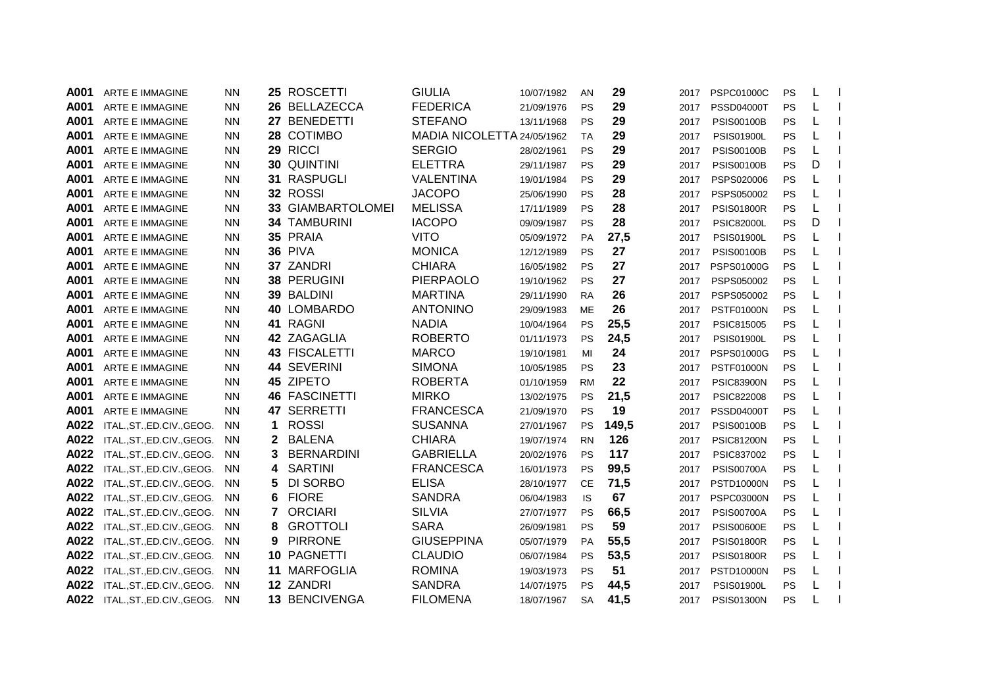| A001 | <b>ARTE E IMMAGINE</b>     | <b>NN</b> |              | 25 ROSCETTI          | <b>GIULIA</b>              | 10/07/1982 | AN        | 29    | 2017 | <b>PSPC01000C</b> | PS | L |  |
|------|----------------------------|-----------|--------------|----------------------|----------------------------|------------|-----------|-------|------|-------------------|----|---|--|
| A001 | ARTE E IMMAGINE            | <b>NN</b> |              | 26 BELLAZECCA        | <b>FEDERICA</b>            | 21/09/1976 | <b>PS</b> | 29    | 2017 | <b>PSSD04000T</b> | PS | L |  |
| A001 | ARTE E IMMAGINE            | <b>NN</b> |              | 27 BENEDETTI         | <b>STEFANO</b>             | 13/11/1968 | PS        | 29    | 2017 | <b>PSIS00100B</b> | PS | L |  |
| A001 | ARTE E IMMAGINE            | <b>NN</b> |              | 28 COTIMBO           | MADIA NICOLETTA 24/05/1962 |            | <b>TA</b> | 29    | 2017 | <b>PSIS01900L</b> | PS | L |  |
| A001 | <b>ARTE E IMMAGINE</b>     | <b>NN</b> |              | 29 RICCI             | <b>SERGIO</b>              | 28/02/1961 | <b>PS</b> | 29    | 2017 | <b>PSIS00100B</b> | PS |   |  |
| A001 | ARTE E IMMAGINE            | <b>NN</b> |              | 30 QUINTINI          | <b>ELETTRA</b>             | 29/11/1987 | <b>PS</b> | 29    | 2017 | <b>PSIS00100B</b> | PS | D |  |
| A001 | ARTE E IMMAGINE            | <b>NN</b> |              | 31 RASPUGLI          | <b>VALENTINA</b>           | 19/01/1984 | <b>PS</b> | 29    | 2017 | PSPS020006        | PS | L |  |
| A001 | <b>ARTE E IMMAGINE</b>     | <b>NN</b> |              | 32 ROSSI             | <b>JACOPO</b>              | 25/06/1990 | <b>PS</b> | 28    | 2017 | PSPS050002        | PS | L |  |
| A001 | <b>ARTE E IMMAGINE</b>     | <b>NN</b> |              | 33 GIAMBARTOLOMEI    | <b>MELISSA</b>             | 17/11/1989 | <b>PS</b> | 28    | 2017 | <b>PSIS01800R</b> | PS | L |  |
| A001 | ARTE E IMMAGINE            | <b>NN</b> |              | <b>34 TAMBURINI</b>  | <b>IACOPO</b>              | 09/09/1987 | <b>PS</b> | 28    | 2017 | <b>PSIC82000L</b> | PS | D |  |
| A001 | ARTE E IMMAGINE            | <b>NN</b> |              | 35 PRAIA             | <b>VITO</b>                | 05/09/1972 | PA        | 27,5  | 2017 | <b>PSIS01900L</b> | PS |   |  |
| A001 | ARTE E IMMAGINE            | <b>NN</b> |              | 36 PIVA              | <b>MONICA</b>              | 12/12/1989 | <b>PS</b> | 27    | 2017 | <b>PSIS00100B</b> | PS |   |  |
| A001 | ARTE E IMMAGINE            | <b>NN</b> |              | 37 ZANDRI            | <b>CHIARA</b>              | 16/05/1982 | <b>PS</b> | 27    | 2017 | PSPS01000G        | PS |   |  |
| A001 | ARTE E IMMAGINE            | <b>NN</b> |              | 38 PERUGINI          | <b>PIERPAOLO</b>           | 19/10/1962 | <b>PS</b> | 27    | 2017 | PSPS050002        | PS | L |  |
| A001 | ARTE E IMMAGINE            | <b>NN</b> |              | 39 BALDINI           | <b>MARTINA</b>             | 29/11/1990 | <b>RA</b> | 26    | 2017 | PSPS050002        | PS |   |  |
| A001 | ARTE E IMMAGINE            | <b>NN</b> |              | 40 LOMBARDO          | <b>ANTONINO</b>            | 29/09/1983 | <b>ME</b> | 26    | 2017 | <b>PSTF01000N</b> | PS |   |  |
| A001 | ARTE E IMMAGINE            | <b>NN</b> |              | 41 RAGNI             | <b>NADIA</b>               | 10/04/1964 | <b>PS</b> | 25,5  | 2017 | PSIC815005        | PS |   |  |
| A001 | ARTE E IMMAGINE            | <b>NN</b> |              | 42 ZAGAGLIA          | <b>ROBERTO</b>             | 01/11/1973 | <b>PS</b> | 24,5  | 2017 | <b>PSIS01900L</b> | PS |   |  |
| A001 | <b>ARTE E IMMAGINE</b>     | <b>NN</b> |              | 43 FISCALETTI        | <b>MARCO</b>               | 19/10/1981 | MI        | 24    | 2017 | PSPS01000G        | PS |   |  |
| A001 | <b>ARTE E IMMAGINE</b>     | <b>NN</b> |              | 44 SEVERINI          | <b>SIMONA</b>              | 10/05/1985 | <b>PS</b> | 23    | 2017 | <b>PSTF01000N</b> | PS | L |  |
| A001 | <b>ARTE E IMMAGINE</b>     | <b>NN</b> |              | 45 ZIPETO            | <b>ROBERTA</b>             | 01/10/1959 | <b>RM</b> | 22    | 2017 | <b>PSIC83900N</b> | PS | L |  |
| A001 | <b>ARTE E IMMAGINE</b>     | <b>NN</b> |              | <b>46 FASCINETTI</b> | <b>MIRKO</b>               | 13/02/1975 | <b>PS</b> | 21,5  | 2017 | <b>PSIC822008</b> | PS | L |  |
| A001 | <b>ARTE E IMMAGINE</b>     | <b>NN</b> |              | 47 SERRETTI          | <b>FRANCESCA</b>           | 21/09/1970 | <b>PS</b> | 19    | 2017 | <b>PSSD04000T</b> | PS | L |  |
| A022 | ITAL.,ST.,ED.CIV.,GEOG.    | <b>NN</b> | 1            | <b>ROSSI</b>         | <b>SUSANNA</b>             | 27/01/1967 | <b>PS</b> | 149,5 | 2017 | <b>PSIS00100B</b> | PS | L |  |
| A022 | ITAL., ST., ED.CIV., GEOG. | <b>NN</b> | $\mathbf{2}$ | <b>BALENA</b>        | <b>CHIARA</b>              | 19/07/1974 | <b>RN</b> | 126   | 2017 | <b>PSIC81200N</b> | PS | L |  |
| A022 | ITAL., ST., ED.CIV., GEOG. | <b>NN</b> | 3            | <b>BERNARDINI</b>    | <b>GABRIELLA</b>           | 20/02/1976 | <b>PS</b> | 117   | 2017 | PSIC837002        | PS | L |  |
| A022 | ITAL.,ST.,ED.CIV.,GEOG.    | <b>NN</b> | 4            | <b>SARTINI</b>       | <b>FRANCESCA</b>           | 16/01/1973 | <b>PS</b> | 99,5  | 2017 | <b>PSIS00700A</b> | PS | L |  |
| A022 | ITAL., ST., ED.CIV., GEOG. | <b>NN</b> | 5            | DI SORBO             | <b>ELISA</b>               | 28/10/1977 | <b>CE</b> | 71,5  | 2017 | <b>PSTD10000N</b> | PS | L |  |
| A022 | ITAL.,ST.,ED.CIV.,GEOG.    | <b>NN</b> | 6            | <b>FIORE</b>         | <b>SANDRA</b>              | 06/04/1983 | IS        | 67    | 2017 | <b>PSPC03000N</b> | PS |   |  |
| A022 | ITAL., ST., ED.CIV., GEOG. | <b>NN</b> | 7            | <b>ORCIARI</b>       | <b>SILVIA</b>              | 27/07/1977 | <b>PS</b> | 66,5  | 2017 | <b>PSIS00700A</b> | PS |   |  |
| A022 | ITAL., ST., ED.CIV., GEOG. | ΝN        | 8            | <b>GROTTOLI</b>      | <b>SARA</b>                | 26/09/1981 | <b>PS</b> | 59    | 2017 | <b>PSIS00600E</b> | PS |   |  |
| A022 | ITAL., ST., ED.CIV., GEOG. | <b>NN</b> | 9            | <b>PIRRONE</b>       | <b>GIUSEPPINA</b>          | 05/07/1979 | <b>PA</b> | 55,5  | 2017 | <b>PSIS01800R</b> | PS | L |  |
| A022 | ITAL., ST., ED.CIV., GEOG. | <b>NN</b> |              | 10 PAGNETTI          | <b>CLAUDIO</b>             | 06/07/1984 | <b>PS</b> | 53,5  | 2017 | <b>PSIS01800R</b> | PS | L |  |
| A022 | ITAL.,ST.,ED.CIV.,GEOG.    | <b>NN</b> |              | 11 MARFOGLIA         | <b>ROMINA</b>              | 19/03/1973 | <b>PS</b> | 51    | 2017 | <b>PSTD10000N</b> | PS | L |  |
| A022 | ITAL., ST., ED.CIV., GEOG. | <b>NN</b> |              | 12 ZANDRI            | <b>SANDRA</b>              | 14/07/1975 | <b>PS</b> | 44,5  | 2017 | <b>PSIS01900L</b> | PS | L |  |
| A022 | ITAL.,ST.,ED.CIV.,GEOG.    | <b>NN</b> |              | 13 BENCIVENGA        | <b>FILOMENA</b>            | 18/07/1967 | <b>SA</b> | 41,5  | 2017 | <b>PSIS01300N</b> | PS |   |  |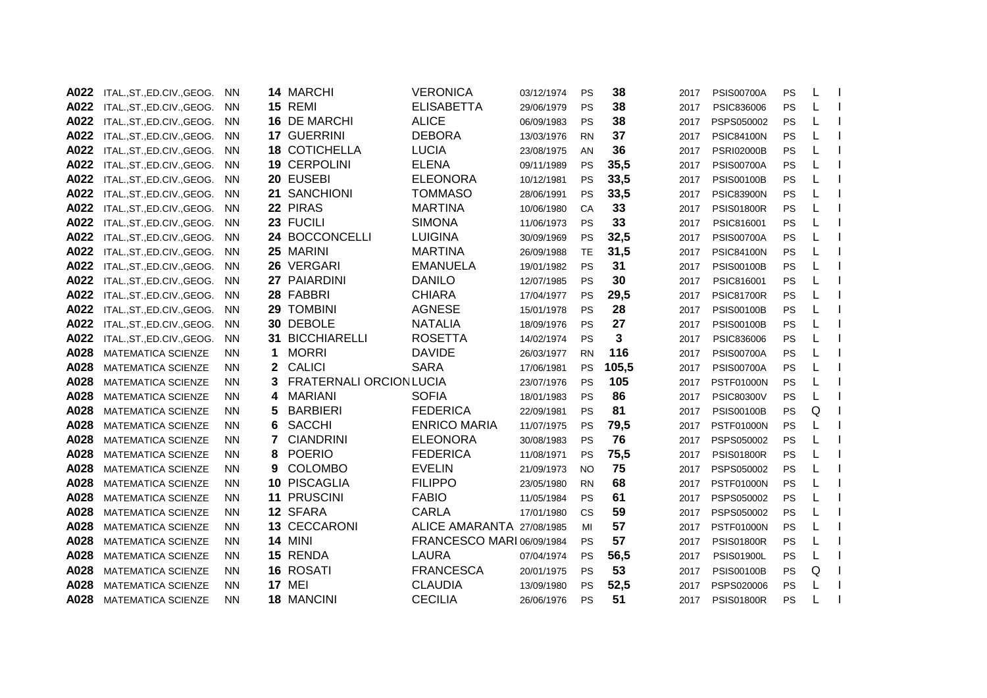| A022 | ITAL., ST., ED.CIV., GEOG.  | <b>NN</b> |    | 14 MARCHI                      | <b>VERONICA</b>           | 03/12/1974 | PS        | 38    | 2017 | <b>PSIS00700A</b> | PS | L |  |
|------|-----------------------------|-----------|----|--------------------------------|---------------------------|------------|-----------|-------|------|-------------------|----|---|--|
| A022 | ITAL.,ST.,ED.CIV.,GEOG.     | <b>NN</b> |    | <b>15 REMI</b>                 | <b>ELISABETTA</b>         | 29/06/1979 | PS        | 38    | 2017 | PSIC836006        | PS | L |  |
| A022 | ITAL., ST., ED.CIV., GEOG.  | <b>NN</b> |    | 16 DE MARCHI                   | <b>ALICE</b>              | 06/09/1983 | PS        | 38    | 2017 | PSPS050002        | PS | L |  |
| A022 | ITAL., ST., ED.CIV., GEOG.  | <b>NN</b> |    | 17 GUERRINI                    | <b>DEBORA</b>             | 13/03/1976 | <b>RN</b> | 37    | 2017 | <b>PSIC84100N</b> | PS | L |  |
| A022 | ITAL.,ST.,ED.CIV.,GEOG.     | <b>NN</b> |    | <b>18 COTICHELLA</b>           | <b>LUCIA</b>              | 23/08/1975 | AN        | 36    | 2017 | <b>PSRI02000B</b> | PS |   |  |
| A022 | ITAL., ST., ED.CIV., GEOG.  | <b>NN</b> |    | 19 CERPOLINI                   | <b>ELENA</b>              | 09/11/1989 | <b>PS</b> | 35,5  | 2017 | <b>PSIS00700A</b> | PS |   |  |
| A022 | ITAL., ST., ED.CIV., GEOG.  | <b>NN</b> |    | 20 EUSEBI                      | <b>ELEONORA</b>           | 10/12/1981 | PS        | 33,5  | 2017 | <b>PSIS00100B</b> | PS |   |  |
| A022 | ITAL., ST., ED.CIV., GEOG.  | <b>NN</b> |    | 21 SANCHIONI                   | <b>TOMMASO</b>            | 28/06/1991 | <b>PS</b> | 33,5  | 2017 | <b>PSIC83900N</b> | PS | L |  |
| A022 | ITAL.,ST.,ED.CIV.,GEOG.     | <b>NN</b> |    | 22 PIRAS                       | <b>MARTINA</b>            | 10/06/1980 | CA        | 33    | 2017 | <b>PSIS01800R</b> | PS | L |  |
| A022 | ITAL., ST., ED.CIV., GEOG.  | <b>NN</b> |    | 23 FUCILI                      | <b>SIMONA</b>             | 11/06/1973 | PS        | 33    | 2017 | PSIC816001        | PS | L |  |
| A022 | ITAL., ST., ED.CIV., GEOG.  | <b>NN</b> |    | 24 BOCCONCELLI                 | <b>LUIGINA</b>            | 30/09/1969 | <b>PS</b> | 32,5  | 2017 | <b>PSIS00700A</b> | PS | L |  |
| A022 | ITAL., ST., ED.CIV., GEOG.  | <b>NN</b> |    | 25 MARINI                      | <b>MARTINA</b>            | 26/09/1988 | TE        | 31,5  | 2017 | <b>PSIC84100N</b> | PS |   |  |
| A022 | ITAL., ST., ED.CIV., GEOG.  | <b>NN</b> |    | 26 VERGARI                     | <b>EMANUELA</b>           | 19/01/1982 | PS        | 31    | 2017 | <b>PSIS00100B</b> | PS | L |  |
| A022 | ITAL., ST., ED.CIV., GEOG.  | <b>NN</b> |    | 27 PAIARDINI                   | <b>DANILO</b>             | 12/07/1985 | PS        | 30    | 2017 | PSIC816001        | PS | L |  |
| A022 | ITAL., ST., ED.CIV., GEOG.  | <b>NN</b> |    | 28 FABBRI                      | <b>CHIARA</b>             | 17/04/1977 | PS        | 29,5  | 2017 | <b>PSIC81700R</b> | PS |   |  |
| A022 | ITAL., ST., ED.CIV., GEOG.  | <b>NN</b> |    | 29 TOMBINI                     | <b>AGNESE</b>             | 15/01/1978 | PS        | 28    | 2017 | <b>PSIS00100B</b> | PS |   |  |
| A022 | ITAL., ST., ED.CIV., GEOG.  | <b>NN</b> |    | 30 DEBOLE                      | <b>NATALIA</b>            | 18/09/1976 | PS        | 27    | 2017 | <b>PSIS00100B</b> | PS |   |  |
| A022 | ITAL., ST., ED. CIV., GEOG. | <b>NN</b> |    | <b>31 BICCHIARELLI</b>         | <b>ROSETTA</b>            | 14/02/1974 | <b>PS</b> | 3     | 2017 | PSIC836006        | PS |   |  |
| A028 | <b>MATEMATICA SCIENZE</b>   | NN.       | 1  | <b>MORRI</b>                   | <b>DAVIDE</b>             | 26/03/1977 | <b>RN</b> | 116   | 2017 | <b>PSIS00700A</b> | PS |   |  |
| A028 | <b>MATEMATICA SCIENZE</b>   | NN.       | 2. | <b>CALICI</b>                  | <b>SARA</b>               | 17/06/1981 | <b>PS</b> | 105,5 | 2017 | <b>PSIS00700A</b> | PS |   |  |
| A028 | <b>MATEMATICA SCIENZE</b>   | <b>NN</b> |    | <b>FRATERNALI ORCION LUCIA</b> |                           | 23/07/1976 | <b>PS</b> | 105   | 2017 | <b>PSTF01000N</b> | PS | L |  |
| A028 | MATEMATICA SCIENZE          | NN.       | 4  | <b>MARIANI</b>                 | <b>SOFIA</b>              | 18/01/1983 | PS        | 86    | 2017 | <b>PSIC80300V</b> | PS | L |  |
| A028 | <b>MATEMATICA SCIENZE</b>   | <b>NN</b> | 5  | <b>BARBIERI</b>                | <b>FEDERICA</b>           | 22/09/1981 | PS        | 81    | 2017 | <b>PSIS00100B</b> | PS | Q |  |
| A028 | <b>MATEMATICA SCIENZE</b>   | <b>NN</b> | 6  | <b>SACCHI</b>                  | <b>ENRICO MARIA</b>       | 11/07/1975 | PS        | 79,5  | 2017 | <b>PSTF01000N</b> | PS | L |  |
| A028 | <b>MATEMATICA SCIENZE</b>   | <b>NN</b> | 7  | <b>CIANDRINI</b>               | <b>ELEONORA</b>           | 30/08/1983 | PS        | 76    | 2017 | PSPS050002        | PS |   |  |
| A028 | <b>MATEMATICA SCIENZE</b>   | <b>NN</b> | 8  | <b>POERIO</b>                  | <b>FEDERICA</b>           | 11/08/1971 | PS        | 75,5  | 2017 | <b>PSIS01800R</b> | PS | L |  |
| A028 | <b>MATEMATICA SCIENZE</b>   | <b>NN</b> | 9  | <b>COLOMBO</b>                 | <b>EVELIN</b>             | 21/09/1973 | NO.       | 75    | 2017 | PSPS050002        | PS |   |  |
| A028 | <b>MATEMATICA SCIENZE</b>   | <b>NN</b> |    | 10 PISCAGLIA                   | <b>FILIPPO</b>            | 23/05/1980 | <b>RN</b> | 68    | 2017 | <b>PSTF01000N</b> | PS | L |  |
| A028 | <b>MATEMATICA SCIENZE</b>   | <b>NN</b> |    | 11 PRUSCINI                    | <b>FABIO</b>              | 11/05/1984 | <b>PS</b> | 61    | 2017 | PSPS050002        | PS |   |  |
| A028 | <b>MATEMATICA SCIENZE</b>   | <b>NN</b> |    | 12 SFARA                       | <b>CARLA</b>              | 17/01/1980 | <b>CS</b> | 59    | 2017 | PSPS050002        | PS |   |  |
| A028 | <b>MATEMATICA SCIENZE</b>   | NN.       |    | 13 CECCARONI                   | ALICE AMARANTA 27/08/1985 |            | MI        | 57    | 2017 | <b>PSTF01000N</b> | PS |   |  |
| A028 | <b>MATEMATICA SCIENZE</b>   | NN.       |    | <b>14 MINI</b>                 | FRANCESCO MARI 06/09/1984 |            | <b>PS</b> | 57    | 2017 | <b>PSIS01800R</b> | PS | L |  |
| A028 | <b>MATEMATICA SCIENZE</b>   | NN.       |    | 15 RENDA                       | LAURA                     | 07/04/1974 | <b>PS</b> | 56,5  | 2017 | <b>PSIS01900L</b> | PS | L |  |
| A028 | <b>MATEMATICA SCIENZE</b>   | NN.       |    | 16 ROSATI                      | <b>FRANCESCA</b>          | 20/01/1975 | PS        | 53    | 2017 | <b>PSIS00100B</b> | PS | Q |  |
| A028 | <b>MATEMATICA SCIENZE</b>   | NN.       |    | <b>17 MEI</b>                  | <b>CLAUDIA</b>            | 13/09/1980 | PS        | 52,5  | 2017 | PSPS020006        | PS | L |  |
| A028 | <b>MATEMATICA SCIENZE</b>   | NN.       |    | 18 MANCINI                     | <b>CECILIA</b>            | 26/06/1976 | PS        | 51    | 2017 | <b>PSIS01800R</b> | PS |   |  |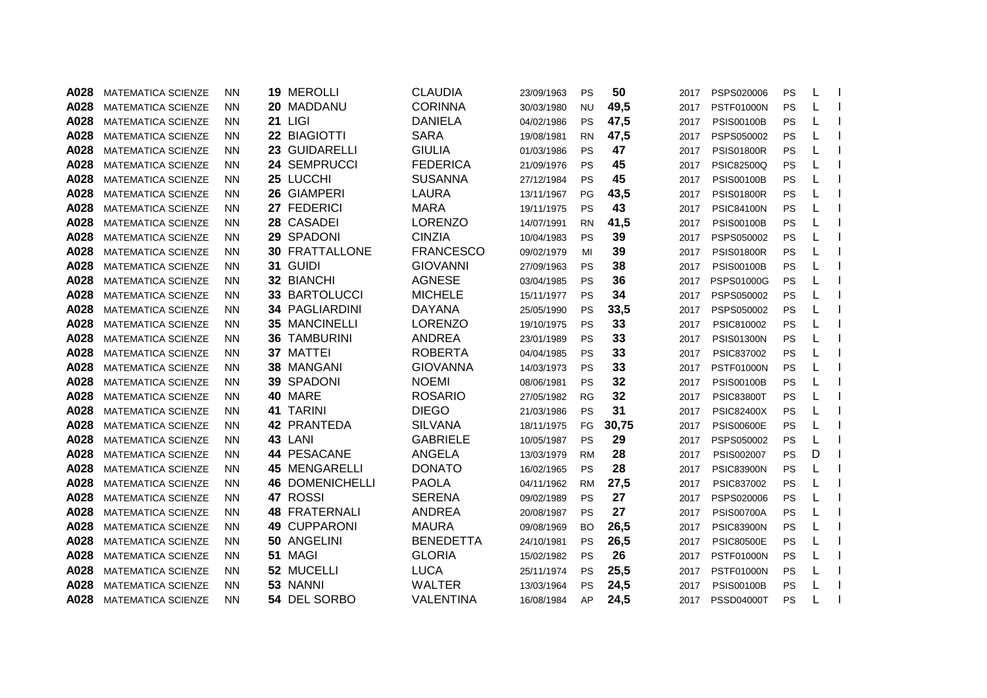| A028 | <b>MATEMATICA SCIENZE</b> | <b>NN</b> | 19 MEROLLI            | <b>CLAUDIA</b>   | 23/09/1963 | <b>PS</b> | 50    | 2017 | PSPS020006        | PS        | L |  |
|------|---------------------------|-----------|-----------------------|------------------|------------|-----------|-------|------|-------------------|-----------|---|--|
| A028 | <b>MATEMATICA SCIENZE</b> | <b>NN</b> | 20 MADDANU            | <b>CORINNA</b>   | 30/03/1980 | <b>NU</b> | 49,5  | 2017 | <b>PSTF01000N</b> | PS        | L |  |
| A028 | <b>MATEMATICA SCIENZE</b> | <b>NN</b> | <b>21 LIGI</b>        | <b>DANIELA</b>   | 04/02/1986 | PS        | 47,5  | 2017 | <b>PSIS00100B</b> | PS        | L |  |
| A028 | <b>MATEMATICA SCIENZE</b> | <b>NN</b> | 22 BIAGIOTTI          | <b>SARA</b>      | 19/08/1981 | <b>RN</b> | 47,5  | 2017 | PSPS050002        | PS        | L |  |
| A028 | <b>MATEMATICA SCIENZE</b> | <b>NN</b> | 23 GUIDARELLI         | <b>GIULIA</b>    | 01/03/1986 | <b>PS</b> | 47    | 2017 | <b>PSIS01800R</b> | PS        |   |  |
| A028 | <b>MATEMATICA SCIENZE</b> | <b>NN</b> | 24 SEMPRUCCI          | <b>FEDERICA</b>  | 21/09/1976 | <b>PS</b> | 45    | 2017 | <b>PSIC82500Q</b> | PS        | L |  |
| A028 | <b>MATEMATICA SCIENZE</b> | NN.       | 25 LUCCHI             | <b>SUSANNA</b>   | 27/12/1984 | <b>PS</b> | 45    | 2017 | <b>PSIS00100B</b> | PS        | L |  |
| A028 | MATEMATICA SCIENZE        | <b>NN</b> | 26 GIAMPERI           | <b>LAURA</b>     | 13/11/1967 | PG        | 43,5  | 2017 | <b>PSIS01800R</b> | PS        | L |  |
| A028 | <b>MATEMATICA SCIENZE</b> | <b>NN</b> | 27 FEDERICI           | <b>MARA</b>      | 19/11/1975 | <b>PS</b> | 43    | 2017 | <b>PSIC84100N</b> | PS        | L |  |
| A028 | <b>MATEMATICA SCIENZE</b> | <b>NN</b> | 28 CASADEI            | <b>LORENZO</b>   | 14/07/1991 | <b>RN</b> | 41,5  | 2017 | <b>PSIS00100B</b> | PS        | L |  |
| A028 | <b>MATEMATICA SCIENZE</b> | <b>NN</b> | 29 SPADONI            | <b>CINZIA</b>    | 10/04/1983 | <b>PS</b> | 39    | 2017 | PSPS050002        | PS        | L |  |
| A028 | <b>MATEMATICA SCIENZE</b> | <b>NN</b> | <b>30 FRATTALLONE</b> | <b>FRANCESCO</b> | 09/02/1979 | MI        | 39    | 2017 | <b>PSIS01800R</b> | PS        | L |  |
| A028 | <b>MATEMATICA SCIENZE</b> | <b>NN</b> | 31 GUIDI              | <b>GIOVANNI</b>  | 27/09/1963 | <b>PS</b> | 38    | 2017 | <b>PSIS00100B</b> | PS        | L |  |
| A028 | <b>MATEMATICA SCIENZE</b> | <b>NN</b> | 32 BIANCHI            | <b>AGNESE</b>    | 03/04/1985 | <b>PS</b> | 36    | 2017 | PSPS01000G        | PS        | L |  |
| A028 | <b>MATEMATICA SCIENZE</b> | <b>NN</b> | 33 BARTOLUCCI         | <b>MICHELE</b>   | 15/11/1977 | <b>PS</b> | 34    | 2017 | PSPS050002        | PS        | L |  |
| A028 | <b>MATEMATICA SCIENZE</b> | <b>NN</b> | <b>34 PAGLIARDINI</b> | <b>DAYANA</b>    | 25/05/1990 | <b>PS</b> | 33,5  | 2017 | PSPS050002        | PS        | L |  |
| A028 | <b>MATEMATICA SCIENZE</b> | <b>NN</b> | <b>35 MANCINELLI</b>  | <b>LORENZO</b>   | 19/10/1975 | <b>PS</b> | 33    | 2017 | PSIC810002        | PS        |   |  |
| A028 | <b>MATEMATICA SCIENZE</b> | <b>NN</b> | <b>36 TAMBURINI</b>   | <b>ANDREA</b>    | 23/01/1989 | <b>PS</b> | 33    | 2017 | <b>PSIS01300N</b> | PS        |   |  |
| A028 | <b>MATEMATICA SCIENZE</b> | <b>NN</b> | 37 MATTEI             | <b>ROBERTA</b>   | 04/04/1985 | <b>PS</b> | 33    | 2017 | PSIC837002        | PS        | L |  |
| A028 | <b>MATEMATICA SCIENZE</b> | NN.       | 38 MANGANI            | <b>GIOVANNA</b>  | 14/03/1973 | <b>PS</b> | 33    | 2017 | <b>PSTF01000N</b> | <b>PS</b> | L |  |
| A028 | <b>MATEMATICA SCIENZE</b> | <b>NN</b> | 39 SPADONI            | <b>NOEMI</b>     | 08/06/1981 | <b>PS</b> | 32    | 2017 | <b>PSIS00100B</b> | PS        | L |  |
| A028 | MATEMATICA SCIENZE        | <b>NN</b> | 40 MARE               | <b>ROSARIO</b>   | 27/05/1982 | <b>RG</b> | 32    | 2017 | <b>PSIC83800T</b> | PS        | L |  |
| A028 | <b>MATEMATICA SCIENZE</b> | <b>NN</b> | 41 TARINI             | <b>DIEGO</b>     | 21/03/1986 | <b>PS</b> | 31    | 2017 | <b>PSIC82400X</b> | PS        | L |  |
| A028 | <b>MATEMATICA SCIENZE</b> | <b>NN</b> | <b>42 PRANTEDA</b>    | <b>SILVANA</b>   | 18/11/1975 | FG        | 30,75 | 2017 | <b>PSIS00600E</b> | PS        | L |  |
| A028 | <b>MATEMATICA SCIENZE</b> | <b>NN</b> | 43 LANI               | <b>GABRIELE</b>  | 10/05/1987 | <b>PS</b> | 29    | 2017 | PSPS050002        | PS        | L |  |
| A028 | <b>MATEMATICA SCIENZE</b> | <b>NN</b> | 44 PESACANE           | <b>ANGELA</b>    | 13/03/1979 | <b>RM</b> | 28    | 2017 | PSIS002007        | PS        | D |  |
| A028 | <b>MATEMATICA SCIENZE</b> | <b>NN</b> | <b>45 MENGARELLI</b>  | <b>DONATO</b>    | 16/02/1965 | <b>PS</b> | 28    | 2017 | <b>PSIC83900N</b> | PS        | L |  |
| A028 | <b>MATEMATICA SCIENZE</b> | <b>NN</b> | 46 DOMENICHELLI       | <b>PAOLA</b>     | 04/11/1962 | <b>RM</b> | 27,5  | 2017 | PSIC837002        | PS        | L |  |
| A028 | <b>MATEMATICA SCIENZE</b> | <b>NN</b> | 47 ROSSI              | <b>SERENA</b>    | 09/02/1989 | <b>PS</b> | 27    | 2017 | PSPS020006        | PS        | L |  |
| A028 | <b>MATEMATICA SCIENZE</b> | <b>NN</b> | <b>48 FRATERNALI</b>  | <b>ANDREA</b>    | 20/08/1987 | <b>PS</b> | 27    | 2017 | <b>PSIS00700A</b> | PS        |   |  |
| A028 | <b>MATEMATICA SCIENZE</b> | <b>NN</b> | <b>49 CUPPARONI</b>   | <b>MAURA</b>     | 09/08/1969 | <b>BO</b> | 26,5  | 2017 | <b>PSIC83900N</b> | PS        |   |  |
| A028 | <b>MATEMATICA SCIENZE</b> | <b>NN</b> | 50 ANGELINI           | <b>BENEDETTA</b> | 24/10/1981 | <b>PS</b> | 26,5  | 2017 | <b>PSIC80500E</b> | PS        | L |  |
| A028 | <b>MATEMATICA SCIENZE</b> | <b>NN</b> | 51 MAGI               | <b>GLORIA</b>    | 15/02/1982 | <b>PS</b> | 26    | 2017 | <b>PSTF01000N</b> | PS        | L |  |
| A028 | MATEMATICA SCIENZE        | <b>NN</b> | 52 MUCELLI            | <b>LUCA</b>      | 25/11/1974 | <b>PS</b> | 25,5  | 2017 | <b>PSTF01000N</b> | PS        | L |  |
| A028 | <b>MATEMATICA SCIENZE</b> | <b>NN</b> | 53 NANNI              | <b>WALTER</b>    | 13/03/1964 | <b>PS</b> | 24,5  | 2017 | <b>PSIS00100B</b> | PS        | L |  |
| A028 | <b>MATEMATICA SCIENZE</b> | <b>NN</b> | 54 DEL SORBO          | <b>VALENTINA</b> | 16/08/1984 | AP        | 24,5  | 2017 | <b>PSSD04000T</b> | PS        |   |  |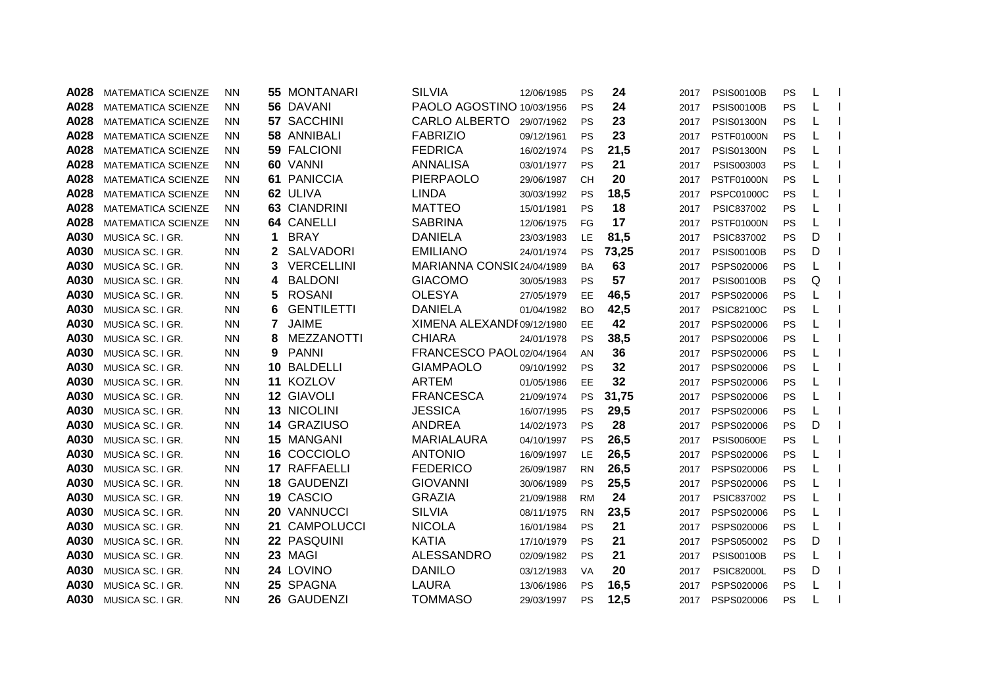| A028 | <b>MATEMATICA SCIENZE</b> | <b>NN</b> |              | <b>55 MONTANARI</b> | <b>SILVIA</b>              | 12/06/1985 | <b>PS</b> | 24    | 2017 | <b>PSIS00100B</b> | PS | L |  |
|------|---------------------------|-----------|--------------|---------------------|----------------------------|------------|-----------|-------|------|-------------------|----|---|--|
| A028 | <b>MATEMATICA SCIENZE</b> | <b>NN</b> |              | 56 DAVANI           | PAOLO AGOSTINO 10/03/1956  |            | <b>PS</b> | 24    | 2017 | <b>PSIS00100B</b> | PS | L |  |
| A028 | <b>MATEMATICA SCIENZE</b> | <b>NN</b> |              | 57 SACCHINI         | <b>CARLO ALBERTO</b>       | 29/07/1962 | <b>PS</b> | 23    | 2017 | <b>PSIS01300N</b> | PS | L |  |
| A028 | <b>MATEMATICA SCIENZE</b> | <b>NN</b> |              | 58 ANNIBALI         | <b>FABRIZIO</b>            | 09/12/1961 | <b>PS</b> | 23    | 2017 | <b>PSTF01000N</b> | PS |   |  |
| A028 | MATEMATICA SCIENZE        | ΝN        |              | <b>59 FALCIONI</b>  | <b>FEDRICA</b>             | 16/02/1974 | <b>PS</b> | 21,5  | 2017 | <b>PSIS01300N</b> | PS |   |  |
| A028 | <b>MATEMATICA SCIENZE</b> | ΝN        |              | 60 VANNI            | ANNALISA                   | 03/01/1977 | <b>PS</b> | 21    | 2017 | PSIS003003        | PS |   |  |
| A028 | <b>MATEMATICA SCIENZE</b> | ΝN        |              | 61 PANICCIA         | <b>PIERPAOLO</b>           | 29/06/1987 | <b>CH</b> | 20    | 2017 | <b>PSTF01000N</b> | PS |   |  |
| A028 | <b>MATEMATICA SCIENZE</b> | <b>NN</b> |              | 62 ULIVA            | <b>LINDA</b>               | 30/03/1992 | <b>PS</b> | 18,5  | 2017 | <b>PSPC01000C</b> | PS | L |  |
| A028 | <b>MATEMATICA SCIENZE</b> | <b>NN</b> |              | 63 CIANDRINI        | <b>MATTEO</b>              | 15/01/1981 | <b>PS</b> | 18    | 2017 | PSIC837002        | PS | L |  |
| A028 | <b>MATEMATICA SCIENZE</b> | <b>NN</b> |              | 64 CANELLI          | <b>SABRINA</b>             | 12/06/1975 | FG        | 17    | 2017 | <b>PSTF01000N</b> | PS | L |  |
| A030 | MUSICA SC. I GR.          | <b>NN</b> | 1            | <b>BRAY</b>         | <b>DANIELA</b>             | 23/03/1983 | LE        | 81,5  | 2017 | PSIC837002        | PS | D |  |
| A030 | MUSICA SC. I GR.          | <b>NN</b> | $\mathbf{2}$ | SALVADORI           | <b>EMILIANO</b>            | 24/01/1974 | PS        | 73,25 | 2017 | <b>PSIS00100B</b> | PS | D |  |
| A030 | MUSICA SC. I GR.          | <b>NN</b> | 3            | VERCELLINI          | MARIANNA CONSIC 24/04/1989 |            | <b>BA</b> | 63    | 2017 | PSPS020006        | PS | L |  |
| A030 | MUSICA SC. I GR.          | <b>NN</b> | 4            | <b>BALDONI</b>      | <b>GIACOMO</b>             | 30/05/1983 | <b>PS</b> | 57    | 2017 | <b>PSIS00100B</b> | PS | Q |  |
| A030 | MUSICA SC. I GR.          | <b>NN</b> | 5            | <b>ROSANI</b>       | <b>OLESYA</b>              | 27/05/1979 | EE        | 46,5  | 2017 | PSPS020006        | PS |   |  |
| A030 | MUSICA SC. I GR.          | <b>NN</b> | 6            | <b>GENTILETTI</b>   | <b>DANIELA</b>             | 01/04/1982 | <b>BO</b> | 42,5  | 2017 | <b>PSIC82100C</b> | PS |   |  |
| A030 | MUSICA SC. I GR.          | <b>NN</b> | 7            | <b>JAIME</b>        | XIMENA ALEXANDI 09/12/1980 |            | <b>EE</b> | 42    | 2017 | PSPS020006        | PS |   |  |
| A030 | MUSICA SC. I GR.          | <b>NN</b> | 8            | MEZZANOTTI          | <b>CHIARA</b>              | 24/01/1978 | <b>PS</b> | 38,5  | 2017 | PSPS020006        | PS |   |  |
| A030 | MUSICA SC. I GR.          | <b>NN</b> | 9            | <b>PANNI</b>        | FRANCESCO PAOL 02/04/1964  |            | AN        | 36    | 2017 | PSPS020006        | PS |   |  |
| A030 | MUSICA SC. I GR.          | <b>NN</b> |              | <b>10 BALDELLI</b>  | <b>GIAMPAOLO</b>           | 09/10/1992 | <b>PS</b> | 32    | 2017 | PSPS020006        | PS |   |  |
| A030 | MUSICA SC. I GR.          | <b>NN</b> |              | 11 KOZLOV           | <b>ARTEM</b>               | 01/05/1986 | EE        | 32    | 2017 | PSPS020006        | PS |   |  |
| A030 | MUSICA SC. I GR.          | <b>NN</b> |              | 12 GIAVOLI          | <b>FRANCESCA</b>           | 21/09/1974 | <b>PS</b> | 31,75 | 2017 | PSPS020006        | PS | L |  |
| A030 | MUSICA SC. I GR.          | <b>NN</b> |              | 13 NICOLINI         | <b>JESSICA</b>             | 16/07/1995 | <b>PS</b> | 29,5  | 2017 | PSPS020006        | PS | L |  |
| A030 | MUSICA SC. I GR.          | <b>NN</b> |              | 14 GRAZIUSO         | <b>ANDREA</b>              | 14/02/1973 | <b>PS</b> | 28    | 2017 | PSPS020006        | PS | D |  |
| A030 | MUSICA SC. I GR.          | <b>NN</b> |              | 15 MANGANI          | <b>MARIALAURA</b>          | 04/10/1997 | PS        | 26,5  | 2017 | <b>PSIS00600E</b> | PS | L |  |
| A030 | MUSICA SC. I GR.          | <b>NN</b> |              | 16 COCCIOLO         | <b>ANTONIO</b>             | 16/09/1997 | LE        | 26,5  | 2017 | PSPS020006        | PS | L |  |
| A030 | MUSICA SC. I GR.          | <b>NN</b> |              | 17 RAFFAELLI        | <b>FEDERICO</b>            | 26/09/1987 | <b>RN</b> | 26,5  | 2017 | PSPS020006        | PS |   |  |
| A030 | MUSICA SC. I GR.          | <b>NN</b> |              | 18 GAUDENZI         | <b>GIOVANNI</b>            | 30/06/1989 | <b>PS</b> | 25,5  | 2017 | PSPS020006        | PS | L |  |
| A030 | MUSICA SC. I GR.          | <b>NN</b> |              | 19 CASCIO           | <b>GRAZIA</b>              | 21/09/1988 | <b>RM</b> | 24    | 2017 | PSIC837002        | PS |   |  |
| A030 | MUSICA SC. I GR.          | <b>NN</b> |              | 20 VANNUCCI         | <b>SILVIA</b>              | 08/11/1975 | <b>RN</b> | 23,5  | 2017 | PSPS020006        | PS |   |  |
| A030 | MUSICA SC. I GR.          | <b>NN</b> |              | 21 CAMPOLUCCI       | <b>NICOLA</b>              | 16/01/1984 | <b>PS</b> | 21    | 2017 | PSPS020006        | PS |   |  |
| A030 | MUSICA SC. I GR.          | <b>NN</b> |              | 22 PASQUINI         | <b>KATIA</b>               | 17/10/1979 | <b>PS</b> | 21    | 2017 | PSPS050002        | PS | D |  |
| A030 | MUSICA SC. I GR.          | <b>NN</b> |              | 23 MAGI             | <b>ALESSANDRO</b>          | 02/09/1982 | <b>PS</b> | 21    | 2017 | <b>PSIS00100B</b> | PS | L |  |
| A030 | MUSICA SC. I GR.          | <b>NN</b> |              | 24 LOVINO           | <b>DANILO</b>              | 03/12/1983 | <b>VA</b> | 20    | 2017 | <b>PSIC82000L</b> | PS | D |  |
| A030 | MUSICA SC. I GR.          | <b>NN</b> |              | 25 SPAGNA           | LAURA                      | 13/06/1986 | <b>PS</b> | 16,5  | 2017 | PSPS020006        | PS | L |  |
| A030 | MUSICA SC. I GR.          | <b>NN</b> |              | 26 GAUDENZI         | <b>TOMMASO</b>             | 29/03/1997 | <b>PS</b> | 12,5  | 2017 | PSPS020006        | PS |   |  |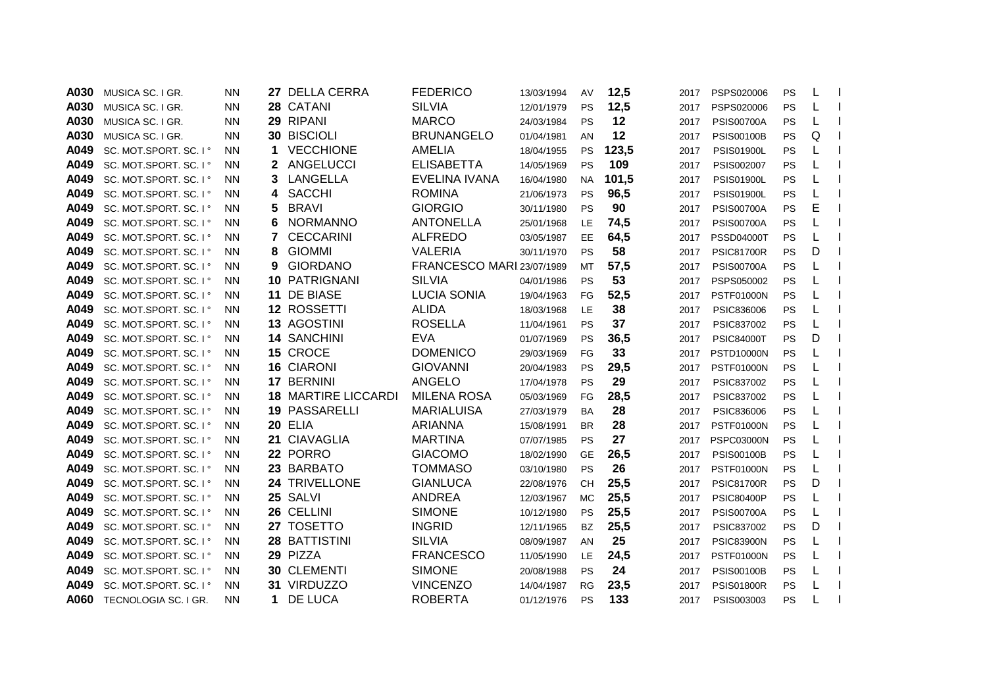| A030 | MUSICA SC. I GR.       | <b>NN</b> |    | 27 DELLA CERRA             | <b>FEDERICO</b>           | 13/03/1994 | AV        | 12,5  | 2017 | PSPS020006        | <b>PS</b> | L |  |
|------|------------------------|-----------|----|----------------------------|---------------------------|------------|-----------|-------|------|-------------------|-----------|---|--|
| A030 | MUSICA SC. I GR.       | <b>NN</b> |    | 28 CATANI                  | <b>SILVIA</b>             | 12/01/1979 | <b>PS</b> | 12,5  | 2017 | PSPS020006        | PS        |   |  |
| A030 | MUSICA SC. I GR.       | <b>NN</b> |    | 29 RIPANI                  | <b>MARCO</b>              | 24/03/1984 | <b>PS</b> | 12    | 2017 | <b>PSIS00700A</b> | PS        |   |  |
| A030 | MUSICA SC. I GR.       | <b>NN</b> |    | <b>30 BISCIOLI</b>         | <b>BRUNANGELO</b>         | 01/04/1981 | AN        | 12    | 2017 | <b>PSIS00100B</b> | <b>PS</b> | Q |  |
| A049 | SC. MOT.SPORT. SC. I°  | NN.       | 1  | <b>VECCHIONE</b>           | AMELIA                    | 18/04/1955 | <b>PS</b> | 123,5 | 2017 | <b>PSIS01900L</b> | PS        |   |  |
| A049 | SC. MOT.SPORT. SC. I ° | NN.       |    | 2 ANGELUCCI                | <b>ELISABETTA</b>         | 14/05/1969 | PS        | 109   | 2017 | PSIS002007        | PS        |   |  |
| A049 | SC. MOT.SPORT. SC. I ° | NN.       | 3. | LANGELLA                   | EVELINA IVANA             | 16/04/1980 | <b>NA</b> | 101,5 | 2017 | <b>PSIS01900L</b> | <b>PS</b> |   |  |
| A049 | SC. MOT.SPORT. SC. I°  | <b>NN</b> | 4  | <b>SACCHI</b>              | <b>ROMINA</b>             | 21/06/1973 | <b>PS</b> | 96,5  | 2017 | <b>PSIS01900L</b> | PS        | L |  |
| A049 | SC. MOT.SPORT. SC. I°  | <b>NN</b> | 5  | <b>BRAVI</b>               | <b>GIORGIO</b>            | 30/11/1980 | <b>PS</b> | 90    | 2017 | <b>PSIS00700A</b> | PS        | E |  |
| A049 | SC. MOT.SPORT. SC. I°  | NN.       | 6  | <b>NORMANNO</b>            | <b>ANTONELLA</b>          | 25/01/1968 | LE        | 74,5  | 2017 | <b>PSIS00700A</b> | PS        | L |  |
| A049 | SC. MOT.SPORT. SC. I ° | <b>NN</b> | 7  | <b>CECCARINI</b>           | <b>ALFREDO</b>            | 03/05/1987 | EE        | 64,5  | 2017 | <b>PSSD04000T</b> | PS        |   |  |
| A049 | SC. MOT.SPORT. SC. I°  | <b>NN</b> | 8  | <b>GIOMMI</b>              | <b>VALERIA</b>            | 30/11/1970 | <b>PS</b> | 58    | 2017 | <b>PSIC81700R</b> | PS        | D |  |
| A049 | SC. MOT.SPORT. SC. I°  | <b>NN</b> | 9  | <b>GIORDANO</b>            | FRANCESCO MARI 23/07/1989 |            | MT        | 57,5  | 2017 | <b>PSIS00700A</b> | PS        | L |  |
| A049 | SC. MOT.SPORT. SC. I°  | <b>NN</b> |    | 10 PATRIGNANI              | <b>SILVIA</b>             | 04/01/1986 | <b>PS</b> | 53    | 2017 | PSPS050002        | PS        |   |  |
| A049 | SC. MOT.SPORT. SC. I ° | <b>NN</b> |    | 11 DE BIASE                | <b>LUCIA SONIA</b>        | 19/04/1963 | FG        | 52,5  | 2017 | <b>PSTF01000N</b> | PS        |   |  |
| A049 | SC. MOT.SPORT. SC. I°  | <b>NN</b> |    | 12 ROSSETTI                | <b>ALIDA</b>              | 18/03/1968 | LE        | 38    | 2017 | PSIC836006        | PS        |   |  |
| A049 | SC. MOT.SPORT. SC. I ° | NN.       |    | 13 AGOSTINI                | <b>ROSELLA</b>            | 11/04/1961 | <b>PS</b> | 37    | 2017 | PSIC837002        | <b>PS</b> |   |  |
| A049 | SC. MOT.SPORT. SC. I ° | <b>NN</b> |    | <b>14 SANCHINI</b>         | <b>EVA</b>                | 01/07/1969 | <b>PS</b> | 36,5  | 2017 | <b>PSIC84000T</b> | PS        | D |  |
| A049 | SC. MOT.SPORT. SC. I ° | <b>NN</b> |    | 15 CROCE                   | <b>DOMENICO</b>           | 29/03/1969 | FG        | 33    | 2017 | <b>PSTD10000N</b> | PS        |   |  |
| A049 | SC. MOT.SPORT. SC. I ° | <b>NN</b> |    | <b>16 CIARONI</b>          | <b>GIOVANNI</b>           | 20/04/1983 | <b>PS</b> | 29,5  | 2017 | <b>PSTF01000N</b> | PS        |   |  |
| A049 | SC. MOT.SPORT. SC. I°  | <b>NN</b> |    | 17 BERNINI                 | <b>ANGELO</b>             | 17/04/1978 | <b>PS</b> | 29    | 2017 | PSIC837002        | PS        |   |  |
| A049 | SC. MOT.SPORT. SC. I°  | <b>NN</b> |    | <b>18 MARTIRE LICCARDI</b> | <b>MILENA ROSA</b>        | 05/03/1969 | FG        | 28,5  | 2017 | PSIC837002        | PS        |   |  |
| A049 | SC. MOT.SPORT. SC. I°  | NN.       |    | 19 PASSARELLI              | <b>MARIALUISA</b>         | 27/03/1979 | <b>BA</b> | 28    | 2017 | PSIC836006        | PS        | L |  |
| A049 | SC. MOT.SPORT. SC. I°  | <b>NN</b> |    | 20 ELIA                    | <b>ARIANNA</b>            | 15/08/1991 | <b>BR</b> | 28    | 2017 | <b>PSTF01000N</b> | PS        |   |  |
| A049 | SC. MOT.SPORT. SC. I ° | <b>NN</b> |    | 21 CIAVAGLIA               | <b>MARTINA</b>            | 07/07/1985 | <b>PS</b> | 27    | 2017 | <b>PSPC03000N</b> | PS        |   |  |
| A049 | SC. MOT.SPORT. SC. I°  | <b>NN</b> |    | 22 PORRO                   | <b>GIACOMO</b>            | 18/02/1990 | <b>GE</b> | 26,5  | 2017 | <b>PSIS00100B</b> | <b>PS</b> |   |  |
| A049 | SC. MOT.SPORT. SC. I°  | <b>NN</b> |    | 23 BARBATO                 | <b>TOMMASO</b>            | 03/10/1980 | <b>PS</b> | 26    | 2017 | <b>PSTF01000N</b> | PS        |   |  |
| A049 | SC. MOT.SPORT. SC. I°  | <b>NN</b> |    | 24 TRIVELLONE              | <b>GIANLUCA</b>           | 22/08/1976 | <b>CH</b> | 25,5  | 2017 | <b>PSIC81700R</b> | PS        | D |  |
| A049 | SC. MOT.SPORT. SC. I°  | <b>NN</b> |    | 25 SALVI                   | <b>ANDREA</b>             | 12/03/1967 | <b>MC</b> | 25,5  | 2017 | <b>PSIC80400P</b> | <b>PS</b> |   |  |
| A049 | SC. MOT.SPORT. SC. I ° | <b>NN</b> |    | 26 CELLINI                 | <b>SIMONE</b>             | 10/12/1980 | <b>PS</b> | 25,5  | 2017 | <b>PSIS00700A</b> | <b>PS</b> |   |  |
| A049 | SC. MOT.SPORT. SC. I°  | <b>NN</b> |    | 27 TOSETTO                 | <b>INGRID</b>             | 12/11/1965 | <b>BZ</b> | 25,5  | 2017 | PSIC837002        | PS        | D |  |
| A049 | SC. MOT.SPORT. SC. I ° | <b>NN</b> |    | 28 BATTISTINI              | <b>SILVIA</b>             | 08/09/1987 | AN        | 25    | 2017 | <b>PSIC83900N</b> | <b>PS</b> | L |  |
| A049 | SC. MOT.SPORT. SC. I ° | <b>NN</b> |    | 29 PIZZA                   | <b>FRANCESCO</b>          | 11/05/1990 | LE        | 24,5  | 2017 | <b>PSTF01000N</b> | PS        |   |  |
| A049 | SC. MOT.SPORT. SC. I°  | <b>NN</b> |    | 30 CLEMENTI                | <b>SIMONE</b>             | 20/08/1988 | <b>PS</b> | 24    | 2017 | <b>PSIS00100B</b> | PS        | L |  |
| A049 | SC. MOT.SPORT. SC. I°  | <b>NN</b> |    | 31 VIRDUZZO                | <b>VINCENZO</b>           | 14/04/1987 | <b>RG</b> | 23,5  | 2017 | <b>PSIS01800R</b> | PS        | L |  |
| A060 | TECNOLOGIA SC. I GR.   | <b>NN</b> | 1  | DE LUCA                    | <b>ROBERTA</b>            | 01/12/1976 | <b>PS</b> | 133   | 2017 | PSIS003003        | PS        |   |  |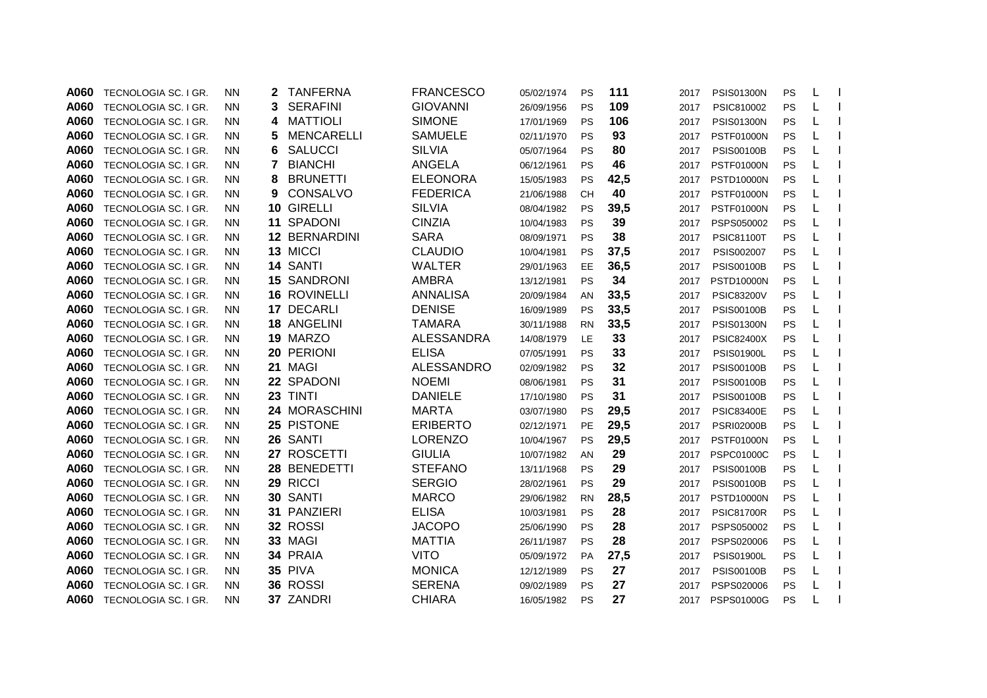| A060 | TECNOLOGIA SC. I GR. | <b>NN</b> | 2 | <b>TANFERNA</b>    | <b>FRANCESCO</b>  | 05/02/1974 | PS        | 111  | 2017 | <b>PSIS01300N</b> | PS | L |  |
|------|----------------------|-----------|---|--------------------|-------------------|------------|-----------|------|------|-------------------|----|---|--|
| A060 | TECNOLOGIA SC. I GR. | NN.       | 3 | <b>SERAFINI</b>    | <b>GIOVANNI</b>   | 26/09/1956 | PS        | 109  | 2017 | PSIC810002        | PS | L |  |
| A060 | TECNOLOGIA SC. I GR. | <b>NN</b> | 4 | <b>MATTIOLI</b>    | <b>SIMONE</b>     | 17/01/1969 | <b>PS</b> | 106  | 2017 | <b>PSIS01300N</b> | PS | L |  |
| A060 | TECNOLOGIA SC. I GR. | <b>NN</b> | 5 | <b>MENCARELLI</b>  | <b>SAMUELE</b>    | 02/11/1970 | <b>PS</b> | 93   | 2017 | <b>PSTF01000N</b> | PS | L |  |
| A060 | TECNOLOGIA SC. I GR. | <b>NN</b> | 6 | <b>SALUCCI</b>     | <b>SILVIA</b>     | 05/07/1964 | <b>PS</b> | 80   | 2017 | <b>PSIS00100B</b> | PS |   |  |
| A060 | TECNOLOGIA SC. I GR. | <b>NN</b> | 7 | <b>BIANCHI</b>     | <b>ANGELA</b>     | 06/12/1961 | <b>PS</b> | 46   | 2017 | <b>PSTF01000N</b> | PS |   |  |
| A060 | TECNOLOGIA SC. I GR. | <b>NN</b> | 8 | <b>BRUNETTI</b>    | <b>ELEONORA</b>   | 15/05/1983 | <b>PS</b> | 42,5 | 2017 | <b>PSTD10000N</b> | PS | L |  |
| A060 | TECNOLOGIA SC. I GR. | NN.       | 9 | CONSALVO           | <b>FEDERICA</b>   | 21/06/1988 | <b>CH</b> | 40   | 2017 | <b>PSTF01000N</b> | PS | L |  |
| A060 | TECNOLOGIA SC. I GR. | <b>NN</b> |   | 10 GIRELLI         | <b>SILVIA</b>     | 08/04/1982 | <b>PS</b> | 39,5 | 2017 | <b>PSTF01000N</b> | PS | L |  |
| A060 | TECNOLOGIA SC. I GR. | <b>NN</b> |   | 11 SPADONI         | <b>CINZIA</b>     | 10/04/1983 | <b>PS</b> | 39   | 2017 | PSPS050002        | PS | L |  |
| A060 | TECNOLOGIA SC. I GR. | <b>NN</b> |   | 12 BERNARDINI      | <b>SARA</b>       | 08/09/1971 | <b>PS</b> | 38   | 2017 | <b>PSIC81100T</b> | PS | L |  |
| A060 | TECNOLOGIA SC. I GR. | NN.       |   | 13 MICCI           | <b>CLAUDIO</b>    | 10/04/1981 | <b>PS</b> | 37,5 | 2017 | PSIS002007        | PS | L |  |
| A060 | TECNOLOGIA SC. I GR. | <b>NN</b> |   | 14 SANTI           | <b>WALTER</b>     | 29/01/1963 | EE.       | 36,5 | 2017 | <b>PSIS00100B</b> | PS | L |  |
| A060 | TECNOLOGIA SC. I GR. | <b>NN</b> |   | <b>15 SANDRONI</b> | <b>AMBRA</b>      | 13/12/1981 | <b>PS</b> | 34   | 2017 | <b>PSTD10000N</b> | PS | L |  |
| A060 | TECNOLOGIA SC. I GR. | <b>NN</b> |   | 16 ROVINELLI       | <b>ANNALISA</b>   | 20/09/1984 | AN        | 33,5 | 2017 | <b>PSIC83200V</b> | PS | L |  |
| A060 | TECNOLOGIA SC. I GR. | <b>NN</b> |   | 17 DECARLI         | <b>DENISE</b>     | 16/09/1989 | <b>PS</b> | 33,5 | 2017 | <b>PSIS00100B</b> | PS | L |  |
| A060 | TECNOLOGIA SC. I GR. | <b>NN</b> |   | <b>18 ANGELINI</b> | TAMARA            | 30/11/1988 | <b>RN</b> | 33,5 | 2017 | <b>PSIS01300N</b> | PS | L |  |
| A060 | TECNOLOGIA SC. I GR. | <b>NN</b> |   | 19 MARZO           | <b>ALESSANDRA</b> | 14/08/1979 | LE        | 33   | 2017 | <b>PSIC82400X</b> | PS |   |  |
| A060 | TECNOLOGIA SC. I GR. | NN.       |   | 20 PERIONI         | <b>ELISA</b>      | 07/05/1991 | <b>PS</b> | 33   | 2017 | <b>PSIS01900L</b> | PS |   |  |
| A060 | TECNOLOGIA SC. I GR. | <b>NN</b> |   | 21 MAGI            | ALESSANDRO        | 02/09/1982 | <b>PS</b> | 32   | 2017 | <b>PSIS00100B</b> | PS |   |  |
| A060 | TECNOLOGIA SC. I GR. | <b>NN</b> |   | 22 SPADONI         | <b>NOEMI</b>      | 08/06/1981 | <b>PS</b> | 31   | 2017 | <b>PSIS00100B</b> | PS |   |  |
| A060 | TECNOLOGIA SC. I GR. | <b>NN</b> |   | 23 TINTI           | <b>DANIELE</b>    | 17/10/1980 | <b>PS</b> | 31   | 2017 | <b>PSIS00100B</b> | PS | L |  |
| A060 | TECNOLOGIA SC. I GR. | <b>NN</b> |   | 24 MORASCHINI      | <b>MARTA</b>      | 03/07/1980 | <b>PS</b> | 29,5 | 2017 | <b>PSIC83400E</b> | PS | L |  |
| A060 | TECNOLOGIA SC. I GR. | <b>NN</b> |   | 25 PISTONE         | <b>ERIBERTO</b>   | 02/12/1971 | PE        | 29,5 | 2017 | <b>PSRI02000B</b> | PS | L |  |
| A060 | TECNOLOGIA SC. I GR. | NN.       |   | 26 SANTI           | <b>LORENZO</b>    | 10/04/1967 | <b>PS</b> | 29,5 | 2017 | <b>PSTF01000N</b> | PS | L |  |
| A060 | TECNOLOGIA SC. I GR. | <b>NN</b> |   | 27 ROSCETTI        | <b>GIULIA</b>     | 10/07/1982 | AN        | 29   | 2017 | <b>PSPC01000C</b> | PS | L |  |
| A060 | TECNOLOGIA SC. I GR. | <b>NN</b> |   | 28 BENEDETTI       | <b>STEFANO</b>    | 13/11/1968 | <b>PS</b> | 29   | 2017 | <b>PSIS00100B</b> | PS | L |  |
| A060 | TECNOLOGIA SC. I GR. | <b>NN</b> |   | 29 RICCI           | <b>SERGIO</b>     | 28/02/1961 | <b>PS</b> | 29   | 2017 | <b>PSIS00100B</b> | PS | L |  |
| A060 | TECNOLOGIA SC. I GR. | <b>NN</b> |   | 30 SANTI           | <b>MARCO</b>      | 29/06/1982 | <b>RN</b> | 28,5 | 2017 | <b>PSTD10000N</b> | PS | L |  |
| A060 | TECNOLOGIA SC. I GR. | <b>NN</b> |   | 31 PANZIERI        | <b>ELISA</b>      | 10/03/1981 | <b>PS</b> | 28   | 2017 | <b>PSIC81700R</b> | PS | L |  |
| A060 | TECNOLOGIA SC. I GR. | <b>NN</b> |   | 32 ROSSI           | <b>JACOPO</b>     | 25/06/1990 | <b>PS</b> | 28   | 2017 | PSPS050002        | PS |   |  |
| A060 | TECNOLOGIA SC. I GR. | <b>NN</b> |   | 33 MAGI            | <b>MATTIA</b>     | 26/11/1987 | <b>PS</b> | 28   | 2017 | PSPS020006        | PS |   |  |
| A060 | TECNOLOGIA SC. I GR. | <b>NN</b> |   | 34 PRAIA           | <b>VITO</b>       | 05/09/1972 | <b>PA</b> | 27,5 | 2017 | <b>PSIS01900L</b> | PS | L |  |
| A060 | TECNOLOGIA SC. I GR. | NN.       |   | 35 PIVA            | <b>MONICA</b>     | 12/12/1989 | <b>PS</b> | 27   | 2017 | <b>PSIS00100B</b> | PS | L |  |
| A060 | TECNOLOGIA SC. I GR. | <b>NN</b> |   | 36 ROSSI           | <b>SERENA</b>     | 09/02/1989 | <b>PS</b> | 27   | 2017 | PSPS020006        | PS | L |  |
| A060 | TECNOLOGIA SC. I GR. | <b>NN</b> |   | 37 ZANDRI          | <b>CHIARA</b>     | 16/05/1982 | <b>PS</b> | 27   | 2017 | PSPS01000G        | PS |   |  |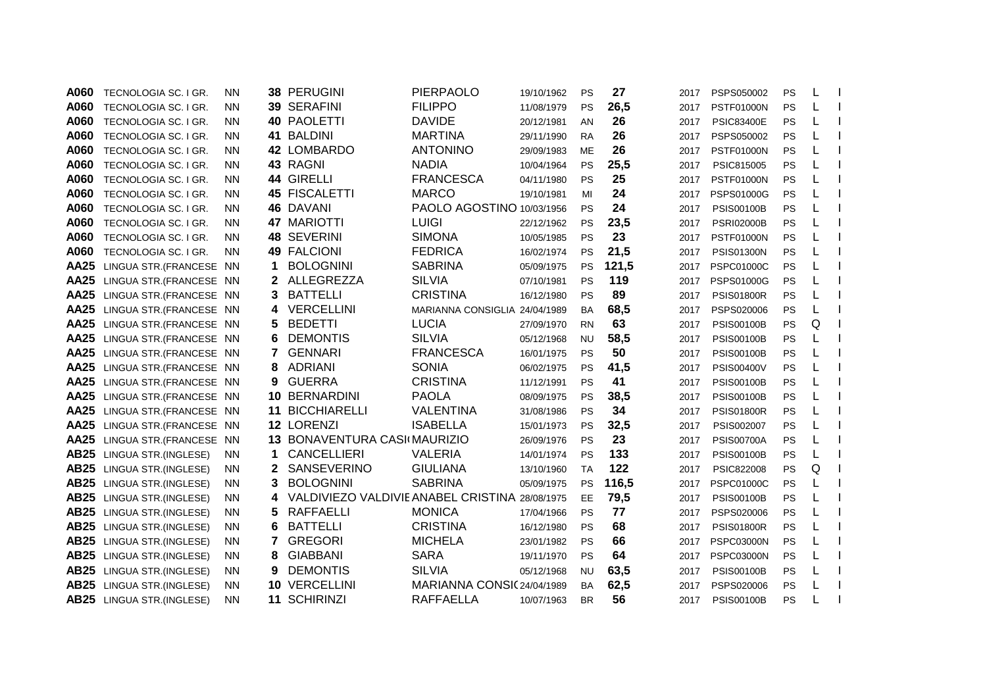| A060        | TECNOLOGIA SC. I GR.     | ΝN        |    | 38 PERUGINI                         | PIERPAOLO                 | 19/10/1962 | <b>PS</b> | 27    | 2017 | PSPS050002        | PS | L |  |
|-------------|--------------------------|-----------|----|-------------------------------------|---------------------------|------------|-----------|-------|------|-------------------|----|---|--|
| A060        | TECNOLOGIA SC. I GR.     | <b>NN</b> |    | 39 SERAFINI                         | <b>FILIPPO</b>            | 11/08/1979 | PS        | 26,5  | 2017 | <b>PSTF01000N</b> | PS |   |  |
| A060        | TECNOLOGIA SC. I GR.     | <b>NN</b> |    | <b>40 PAOLETTI</b>                  | <b>DAVIDE</b>             | 20/12/1981 | AN        | 26    | 2017 | <b>PSIC83400E</b> | PS |   |  |
| A060        | TECNOLOGIA SC. I GR.     | <b>NN</b> |    | 41 BALDINI                          | <b>MARTINA</b>            | 29/11/1990 | <b>RA</b> | 26    | 2017 | PSPS050002        | PS |   |  |
| A060        | TECNOLOGIA SC. I GR.     | <b>NN</b> |    | 42 LOMBARDO                         | <b>ANTONINO</b>           | 29/09/1983 | <b>ME</b> | 26    | 2017 | <b>PSTF01000N</b> | PS |   |  |
| A060        | TECNOLOGIA SC. I GR.     | NN.       |    | 43 RAGNI                            | <b>NADIA</b>              | 10/04/1964 | <b>PS</b> | 25,5  | 2017 | PSIC815005        | PS |   |  |
| A060        | TECNOLOGIA SC. I GR.     | <b>NN</b> |    | 44 GIRELLI                          | <b>FRANCESCA</b>          | 04/11/1980 | <b>PS</b> | 25    | 2017 | <b>PSTF01000N</b> | PS | L |  |
| A060        | TECNOLOGIA SC. I GR.     | <b>NN</b> |    | 45 FISCALETTI                       | <b>MARCO</b>              | 19/10/1981 | MI        | 24    | 2017 | PSPS01000G        | PS |   |  |
| A060        | TECNOLOGIA SC. I GR.     | <b>NN</b> |    | 46 DAVANI                           | PAOLO AGOSTINO 10/03/1956 |            | <b>PS</b> | 24    | 2017 | <b>PSIS00100B</b> | PS |   |  |
| A060        | TECNOLOGIA SC. I GR.     | <b>NN</b> |    | 47 MARIOTTI                         | <b>LUIGI</b>              | 22/12/1962 | PS        | 23,5  | 2017 | <b>PSRI02000B</b> | PS |   |  |
| A060        | TECNOLOGIA SC. I GR.     | <b>NN</b> |    | 48 SEVERINI                         | <b>SIMONA</b>             | 10/05/1985 | PS        | 23    | 2017 | <b>PSTF01000N</b> | PS |   |  |
| A060        | TECNOLOGIA SC. I GR.     | <b>NN</b> |    | <b>49 FALCIONI</b>                  | <b>FEDRICA</b>            | 16/02/1974 | <b>PS</b> | 21,5  | 2017 | <b>PSIS01300N</b> | PS |   |  |
| <b>AA25</b> | LINGUA STR. (FRANCESE NN |           | 1  | <b>BOLOGNINI</b>                    | <b>SABRINA</b>            | 05/09/1975 | <b>PS</b> | 121,5 | 2017 | <b>PSPC01000C</b> | PS |   |  |
| <b>AA25</b> | LINGUA STR. (FRANCESE NN |           | 2  | ALLEGREZZA                          | <b>SILVIA</b>             | 07/10/1981 | PS        | 119   | 2017 | PSPS01000G        | PS |   |  |
| <b>AA25</b> | LINGUA STR. (FRANCESE NN |           | 3  | <b>BATTELLI</b>                     | <b>CRISTINA</b>           | 16/12/1980 | PS        | 89    | 2017 | <b>PSIS01800R</b> | PS |   |  |
| <b>AA25</b> | LINGUA STR. (FRANCESE NN |           | 4  | <b>VERCELLINI</b>                   | <b>MARIANNA CONSIGLIA</b> | 24/04/1989 | <b>BA</b> | 68,5  | 2017 | PSPS020006        | PS |   |  |
| AA25        | LINGUA STR. (FRANCESE NN |           | 5. | <b>BEDETTI</b>                      | <b>LUCIA</b>              | 27/09/1970 | <b>RN</b> | 63    | 2017 | <b>PSIS00100B</b> | PS | Q |  |
| AA25        | LINGUA STR. (FRANCESE NN |           | 6  | <b>DEMONTIS</b>                     | <b>SILVIA</b>             | 05/12/1968 | <b>NU</b> | 58,5  | 2017 | <b>PSIS00100B</b> | PS |   |  |
| <b>AA25</b> | LINGUA STR. (FRANCESE NN |           | 7  | <b>GENNARI</b>                      | <b>FRANCESCA</b>          | 16/01/1975 | <b>PS</b> | 50    | 2017 | <b>PSIS00100B</b> | PS |   |  |
| AA25        | LINGUA STR. (FRANCESE NN |           | 8  | <b>ADRIANI</b>                      | <b>SONIA</b>              | 06/02/1975 | <b>PS</b> | 41,5  | 2017 | <b>PSIS00400V</b> | PS |   |  |
| AA25        | LINGUA STR. (FRANCESE NN |           | 9  | <b>GUERRA</b>                       | <b>CRISTINA</b>           | 11/12/1991 | PS        | 41    | 2017 | <b>PSIS00100B</b> | PS |   |  |
| <b>AA25</b> | LINGUA STR. (FRANCESE NN |           |    | 10 BERNARDINI                       | <b>PAOLA</b>              | 08/09/1975 | PS        | 38,5  | 2017 | <b>PSIS00100B</b> | PS |   |  |
| <b>AA25</b> | LINGUA STR. (FRANCESE NN |           | 11 | <b>BICCHIARELLI</b>                 | <b>VALENTINA</b>          | 31/08/1986 | PS        | 34    | 2017 | <b>PSIS01800R</b> | PS |   |  |
| <b>AA25</b> | LINGUA STR. (FRANCESE NN |           |    | 12 LORENZI                          | <b>ISABELLA</b>           | 15/01/1973 | <b>PS</b> | 32,5  | 2017 | PSIS002007        | PS |   |  |
| <b>AA25</b> | LINGUA STR. (FRANCESE NN |           |    | 13 BONAVENTURA CASI(MAURIZIO        |                           | 26/09/1976 | PS        | 23    | 2017 | <b>PSIS00700A</b> | PS |   |  |
| <b>AB25</b> | LINGUA STR.(INGLESE)     | <b>NN</b> | 1  | <b>CANCELLIERI</b>                  | <b>VALERIA</b>            | 14/01/1974 | PS        | 133   | 2017 | <b>PSIS00100B</b> | PS |   |  |
| <b>AB25</b> | LINGUA STR.(INGLESE)     | NN.       | 2  | SANSEVERINO                         | <b>GIULIANA</b>           | 13/10/1960 | <b>TA</b> | 122   | 2017 | <b>PSIC822008</b> | PS | Q |  |
| <b>AB25</b> | LINGUA STR.(INGLESE)     | <b>NN</b> | 3  | <b>BOLOGNINI</b>                    | <b>SABRINA</b>            | 05/09/1975 | <b>PS</b> | 116,5 | 2017 | <b>PSPC01000C</b> | PS |   |  |
| <b>AB25</b> | LINGUA STR.(INGLESE)     | NN.       | 4  | VALDIVIEZO VALDIVIE ANABEL CRISTINA |                           | 28/08/1975 | EE        | 79,5  | 2017 | <b>PSIS00100B</b> | PS |   |  |
| <b>AB25</b> | LINGUA STR.(INGLESE)     | <b>NN</b> | 5  | <b>RAFFAELLI</b>                    | <b>MONICA</b>             | 17/04/1966 | <b>PS</b> | 77    | 2017 | PSPS020006        | PS |   |  |
| <b>AB25</b> | LINGUA STR.(INGLESE)     | <b>NN</b> | 6  | <b>BATTELLI</b>                     | <b>CRISTINA</b>           | 16/12/1980 | <b>PS</b> | 68    | 2017 | <b>PSIS01800R</b> | PS |   |  |
| <b>AB25</b> | LINGUA STR.(INGLESE)     | <b>NN</b> | 7  | <b>GREGORI</b>                      | <b>MICHELA</b>            | 23/01/1982 | PS        | 66    | 2017 | <b>PSPC03000N</b> | PS |   |  |
| <b>AB25</b> | LINGUA STR.(INGLESE)     | <b>NN</b> | 8  | <b>GIABBANI</b>                     | <b>SARA</b>               | 19/11/1970 | <b>PS</b> | 64    | 2017 | <b>PSPC03000N</b> | PS | L |  |
| <b>AB25</b> | LINGUA STR.(INGLESE)     | <b>NN</b> | 9  | <b>DEMONTIS</b>                     | <b>SILVIA</b>             | 05/12/1968 | <b>NU</b> | 63,5  | 2017 | <b>PSIS00100B</b> | PS |   |  |
| <b>AB25</b> | LINGUA STR.(INGLESE)     | <b>NN</b> | 10 | <b>VERCELLINI</b>                   | MARIANNA CONSI(24/04/1989 |            | BA        | 62,5  | 2017 | PSPS020006        | PS |   |  |
| <b>AB25</b> | LINGUA STR.(INGLESE)     | ΝN        | 11 | <b>SCHIRINZI</b>                    | <b>RAFFAELLA</b>          | 10/07/1963 | <b>BR</b> | 56    | 2017 | <b>PSIS00100B</b> | PS |   |  |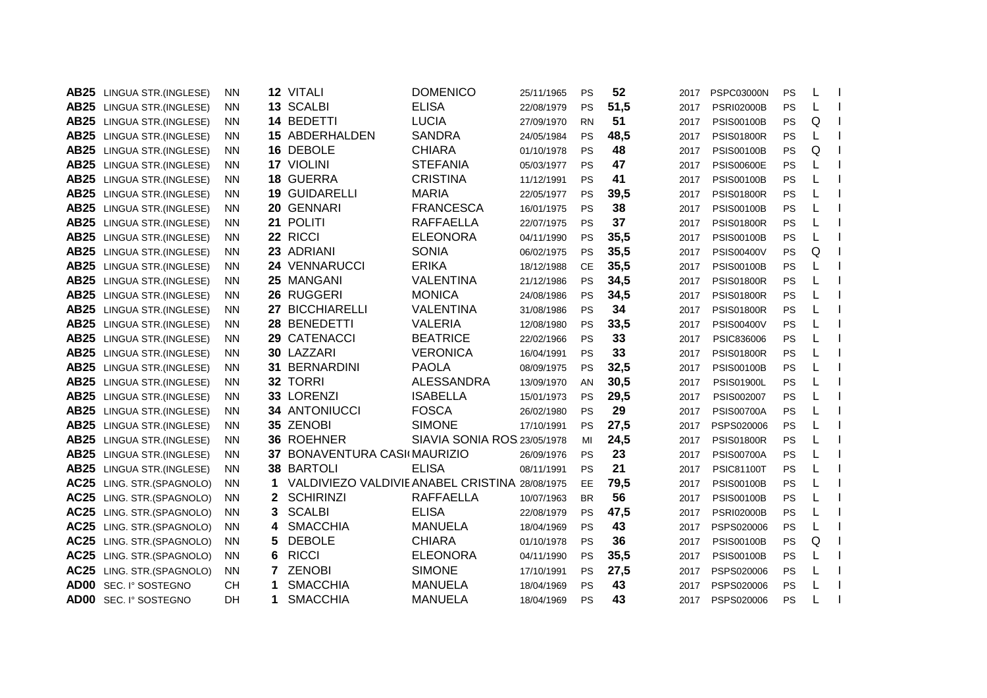| AB <sub>25</sub> | LINGUA STR.(INGLESE)  | <b>NN</b>       | 12 VITALI                           | <b>DOMENICO</b>             | 25/11/1965 | PS        | 52   | 2017 | <b>PSPC03000N</b> | PS | L |  |
|------------------|-----------------------|-----------------|-------------------------------------|-----------------------------|------------|-----------|------|------|-------------------|----|---|--|
| <b>AB25</b>      | LINGUA STR.(INGLESE)  | <b>NN</b>       | 13 SCALBI                           | <b>ELISA</b>                | 22/08/1979 | PS        | 51,5 | 2017 | <b>PSRI02000B</b> | PS |   |  |
| <b>AB25</b>      | LINGUA STR.(INGLESE)  | <b>NN</b>       | 14 BEDETTI                          | <b>LUCIA</b>                | 27/09/1970 | <b>RN</b> | 51   | 2017 | <b>PSIS00100B</b> | PS | Q |  |
| <b>AB25</b>      | LINGUA STR.(INGLESE)  | <b>NN</b>       | 15 ABDERHALDEN                      | <b>SANDRA</b>               | 24/05/1984 | <b>PS</b> | 48,5 | 2017 | <b>PSIS01800R</b> | PS |   |  |
| <b>AB25</b>      | LINGUA STR.(INGLESE)  | <b>NN</b>       | 16 DEBOLE                           | <b>CHIARA</b>               | 01/10/1978 | PS        | 48   | 2017 | <b>PSIS00100B</b> | PS | Q |  |
| <b>AB25</b>      | LINGUA STR.(INGLESE)  | <b>NN</b>       | 17 VIOLINI                          | <b>STEFANIA</b>             | 05/03/1977 | <b>PS</b> | 47   | 2017 | <b>PSIS00600E</b> | PS |   |  |
| <b>AB25</b>      | LINGUA STR.(INGLESE)  | <b>NN</b>       | <b>18 GUERRA</b>                    | <b>CRISTINA</b>             | 11/12/1991 | <b>PS</b> | 41   | 2017 | <b>PSIS00100B</b> | PS |   |  |
| <b>AB25</b>      | LINGUA STR.(INGLESE)  | <b>NN</b>       | <b>19 GUIDARELLI</b>                | <b>MARIA</b>                | 22/05/1977 | PS        | 39,5 | 2017 | <b>PSIS01800R</b> | PS |   |  |
| <b>AB25</b>      | LINGUA STR.(INGLESE)  | <b>NN</b>       | 20 GENNARI                          | <b>FRANCESCA</b>            | 16/01/1975 | <b>PS</b> | 38   | 2017 | <b>PSIS00100B</b> | PS |   |  |
| <b>AB25</b>      | LINGUA STR.(INGLESE)  | <b>NN</b>       | 21 POLITI                           | <b>RAFFAELLA</b>            | 22/07/1975 | <b>PS</b> | 37   | 2017 | <b>PSIS01800R</b> | PS |   |  |
| <b>AB25</b>      | LINGUA STR.(INGLESE)  | <b>NN</b>       | 22 RICCI                            | <b>ELEONORA</b>             | 04/11/1990 | PS        | 35,5 | 2017 | <b>PSIS00100B</b> | PS |   |  |
| <b>AB25</b>      | LINGUA STR.(INGLESE)  | <b>NN</b>       | 23 ADRIANI                          | <b>SONIA</b>                | 06/02/1975 | PS        | 35,5 | 2017 | <b>PSIS00400V</b> | PS | Q |  |
| <b>AB25</b>      | LINGUA STR.(INGLESE)  | <b>NN</b>       | 24 VENNARUCCI                       | <b>ERIKA</b>                | 18/12/1988 | <b>CE</b> | 35,5 | 2017 | <b>PSIS00100B</b> | PS |   |  |
| <b>AB25</b>      | LINGUA STR.(INGLESE)  | <b>NN</b>       | 25 MANGANI                          | <b>VALENTINA</b>            | 21/12/1986 | PS        | 34,5 | 2017 | <b>PSIS01800R</b> | PS |   |  |
| <b>AB25</b>      | LINGUA STR.(INGLESE)  | <b>NN</b>       | 26 RUGGERI                          | <b>MONICA</b>               | 24/08/1986 | PS        | 34,5 | 2017 | <b>PSIS01800R</b> | PS |   |  |
| <b>AB25</b>      | LINGUA STR.(INGLESE)  | 27<br><b>NN</b> | <b>BICCHIARELLI</b>                 | <b>VALENTINA</b>            | 31/08/1986 | PS        | 34   | 2017 | <b>PSIS01800R</b> | PS |   |  |
| <b>AB25</b>      | LINGUA STR.(INGLESE)  | <b>NN</b>       | 28 BENEDETTI                        | <b>VALERIA</b>              | 12/08/1980 | <b>PS</b> | 33,5 | 2017 | <b>PSIS00400V</b> | PS |   |  |
| <b>AB25</b>      | LINGUA STR.(INGLESE)  | <b>NN</b>       | 29 CATENACCI                        | <b>BEATRICE</b>             | 22/02/1966 | <b>PS</b> | 33   | 2017 | PSIC836006        | PS |   |  |
| <b>AB25</b>      | LINGUA STR.(INGLESE)  | <b>NN</b>       | 30 LAZZARI                          | <b>VERONICA</b>             | 16/04/1991 | <b>PS</b> | 33   | 2017 | <b>PSIS01800R</b> | PS |   |  |
| <b>AB25</b>      | LINGUA STR.(INGLESE)  | <b>NN</b>       | <b>31 BERNARDINI</b>                | <b>PAOLA</b>                | 08/09/1975 | <b>PS</b> | 32,5 | 2017 | <b>PSIS00100B</b> | PS |   |  |
| <b>AB25</b>      | LINGUA STR.(INGLESE)  | <b>NN</b>       | 32 TORRI                            | ALESSANDRA                  | 13/09/1970 | AN        | 30,5 | 2017 | <b>PSIS01900L</b> | PS |   |  |
| <b>AB25</b>      | LINGUA STR.(INGLESE)  | <b>NN</b>       | 33 LORENZI                          | <b>ISABELLA</b>             | 15/01/1973 | PS        | 29,5 | 2017 | PSIS002007        | PS |   |  |
| <b>AB25</b>      | LINGUA STR.(INGLESE)  | <b>NN</b>       | <b>34 ANTONIUCCI</b>                | <b>FOSCA</b>                | 26/02/1980 | <b>PS</b> | 29   | 2017 | <b>PSIS00700A</b> | PS |   |  |
| <b>AB25</b>      | LINGUA STR.(INGLESE)  | <b>NN</b>       | 35 ZENOBI                           | <b>SIMONE</b>               | 17/10/1991 | PS        | 27,5 | 2017 | PSPS020006        | PS |   |  |
| <b>AB25</b>      | LINGUA STR.(INGLESE)  | <b>NN</b>       | 36 ROEHNER                          | SIAVIA SONIA ROS 23/05/1978 |            | MI        | 24,5 | 2017 | <b>PSIS01800R</b> | PS |   |  |
| <b>AB25</b>      | LINGUA STR.(INGLESE)  | <b>NN</b>       | 37 BONAVENTURA CASKMAURIZIO         |                             | 26/09/1976 | <b>PS</b> | 23   | 2017 | <b>PSIS00700A</b> | PS |   |  |
| <b>AB25</b>      | LINGUA STR.(INGLESE)  | <b>NN</b>       | 38 BARTOLI                          | <b>ELISA</b>                | 08/11/1991 | PS        | 21   | 2017 | <b>PSIC81100T</b> | PS |   |  |
| <b>AC25</b>      | LING. STR. (SPAGNOLO) | NN.<br>1        | VALDIVIEZO VALDIVIE ANABEL CRISTINA |                             | 28/08/1975 | <b>EE</b> | 79,5 | 2017 | <b>PSIS00100B</b> | PS |   |  |
| <b>AC25</b>      | LING. STR.(SPAGNOLO)  | 2<br><b>NN</b>  | <b>SCHIRINZI</b>                    | <b>RAFFAELLA</b>            | 10/07/1963 | <b>BR</b> | 56   | 2017 | <b>PSIS00100B</b> | PS |   |  |
| <b>AC25</b>      | LING. STR. (SPAGNOLO) | 3<br><b>NN</b>  | <b>SCALBI</b>                       | <b>ELISA</b>                | 22/08/1979 | <b>PS</b> | 47,5 | 2017 | <b>PSRI02000B</b> | PS |   |  |
| <b>AC25</b>      | LING. STR. (SPAGNOLO) | 4<br><b>NN</b>  | <b>SMACCHIA</b>                     | <b>MANUELA</b>              | 18/04/1969 | <b>PS</b> | 43   | 2017 | PSPS020006        | PS |   |  |
| <b>AC25</b>      | LING. STR. (SPAGNOLO) | 5.<br><b>NN</b> | <b>DEBOLE</b>                       | <b>CHIARA</b>               | 01/10/1978 | <b>PS</b> | 36   | 2017 | <b>PSIS00100B</b> | PS | Q |  |
| <b>AC25</b>      | LING. STR. (SPAGNOLO) | 6<br><b>NN</b>  | <b>RICCI</b>                        | <b>ELEONORA</b>             | 04/11/1990 | PS        | 35,5 | 2017 | <b>PSIS00100B</b> | PS | L |  |
| <b>AC25</b>      | LING. STR.(SPAGNOLO)  | <b>NN</b><br>7  | <b>ZENOBI</b>                       | <b>SIMONE</b>               | 17/10/1991 | <b>PS</b> | 27,5 | 2017 | PSPS020006        | PS | L |  |
| <b>AD00</b>      | SEC. I° SOSTEGNO      | <b>CH</b><br>1  | <b>SMACCHIA</b>                     | <b>MANUELA</b>              | 18/04/1969 | PS        | 43   | 2017 | PSPS020006        | PS |   |  |
| AD00             | SEC. I° SOSTEGNO      | 1<br>DH         | <b>SMACCHIA</b>                     | <b>MANUELA</b>              | 18/04/1969 | PS        | 43   | 2017 | PSPS020006        | PS |   |  |